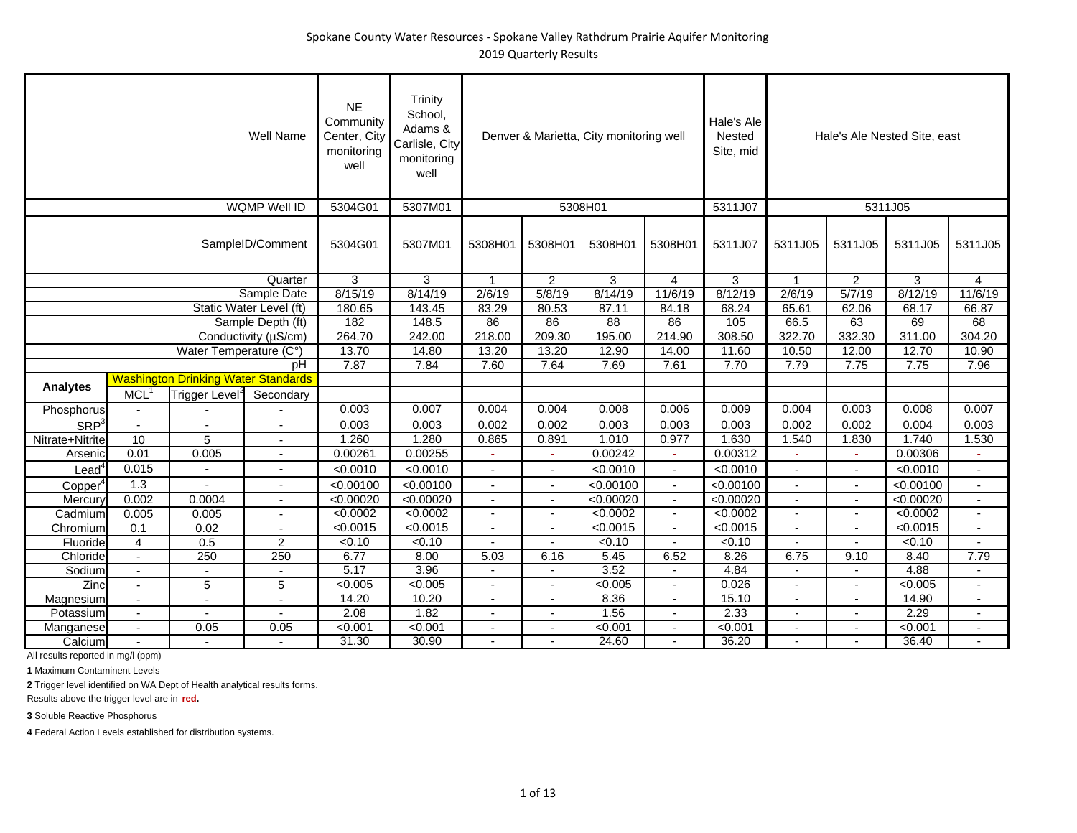|                     |                          |                                            | <b>Well Name</b>         | <b>NE</b><br>Community<br>Center, City<br>monitoring<br>well | Trinity<br>School,<br>Adams &<br>Carlisle, City<br>monitoring<br>well |                          |                | Denver & Marietta, City monitoring well |                             | Hale's Ale<br>Nested<br>Site, mid |                          |                          | Hale's Ale Nested Site, east |                          |
|---------------------|--------------------------|--------------------------------------------|--------------------------|--------------------------------------------------------------|-----------------------------------------------------------------------|--------------------------|----------------|-----------------------------------------|-----------------------------|-----------------------------------|--------------------------|--------------------------|------------------------------|--------------------------|
|                     |                          |                                            | WQMP Well ID             | 5304G01                                                      | 5307M01                                                               |                          |                | 5308H01                                 |                             | 5311J07                           |                          |                          | 5311J05                      |                          |
|                     |                          |                                            | SampleID/Comment         | 5304G01                                                      | 5307M01                                                               | 5308H01                  | 5308H01        | 5308H01                                 | 5308H01                     | 5311J07                           | 5311J05                  | 5311J05                  | 5311J05                      | 5311J05                  |
|                     |                          |                                            | Quarter                  | 3                                                            | 3                                                                     | $\mathbf{1}$             | $\overline{2}$ | 3                                       | $\overline{4}$              | 3                                 | $\mathbf{1}$             | $\overline{2}$           | 3                            | 4                        |
|                     |                          |                                            | Sample Date              | 8/15/19                                                      | 8/14/19                                                               | 2/6/19                   | 5/8/19         | 8/14/19                                 | 11/6/19                     | 8/12/19                           | 2/6/19                   | 5/7/19                   | 8/12/19                      | 11/6/19                  |
|                     |                          |                                            | Static Water Level (ft)  | 180.65                                                       | 143.45                                                                | 83.29                    | 80.53          | 87.11                                   | 84.18                       | 68.24                             | 65.61                    | 62.06                    | 68.17                        | 66.87                    |
|                     |                          |                                            | Sample Depth (ft)        | 182                                                          | 148.5                                                                 | 86                       | 86             | 88                                      | 86                          | 105                               | 66.5                     | 63                       | 69                           | 68                       |
|                     |                          |                                            | Conductivity (µS/cm)     | 264.70                                                       | 242.00                                                                | 218.00                   | 209.30         | 195.00                                  | 214.90                      | 308.50                            | 322.70                   | 332.30                   | 311.00                       | 304.20                   |
|                     |                          | Water Temperature (C°)                     |                          | 13.70                                                        | 14.80                                                                 | 13.20                    | 13.20          | 12.90                                   | 14.00                       | 11.60                             | 10.50                    | 12.00                    | 12.70                        | 10.90                    |
|                     |                          |                                            | pH                       | 7.87                                                         | 7.84                                                                  | 7.60                     | 7.64           | 7.69                                    | 7.61                        | 7.70                              | 7.79                     | 7.75                     | 7.75                         | 7.96                     |
|                     |                          | <b>Washington Drinking Water Standards</b> |                          |                                                              |                                                                       |                          |                |                                         |                             |                                   |                          |                          |                              |                          |
| <b>Analytes</b>     | <b>MCL</b>               | Trigger Level <sup>2</sup>                 | Secondary                |                                                              |                                                                       |                          |                |                                         |                             |                                   |                          |                          |                              |                          |
| Phosphorus          | $\overline{\phantom{a}}$ |                                            |                          | 0.003                                                        | 0.007                                                                 | 0.004                    | 0.004          | 0.008                                   | 0.006                       | 0.009                             | 0.004                    | 0.003                    | 0.008                        | 0.007                    |
| SRP <sup>3</sup>    | $\blacksquare$           |                                            | $\overline{a}$           | 0.003                                                        | 0.003                                                                 | 0.002                    | 0.002          | 0.003                                   | 0.003                       | 0.003                             | 0.002                    | 0.002                    | 0.004                        | 0.003                    |
| Nitrate+Nitrite     | 10                       | 5                                          | $\overline{\phantom{a}}$ | 1.260                                                        | 1.280                                                                 | 0.865                    | 0.891          | 1.010                                   | 0.977                       | 1.630                             | 1.540                    | 1.830                    | 1.740                        | 1.530                    |
| Arsenic             | 0.01                     | 0.005                                      | $\sim$                   | 0.00261                                                      | 0.00255                                                               | ÷,                       | $\omega$       | 0.00242                                 | $\mathcal{L}_{\mathcal{A}}$ | 0.00312                           | $\sim$                   | ÷.                       | 0.00306                      | $\omega$                 |
| $\textsf{lead}^4$   | 0.015                    |                                            | Ĭ.                       | < 0.0010                                                     | < 0.0010                                                              | $\overline{a}$           | $\blacksquare$ | < 0.0010                                | $\sim$                      | < 0.0010                          | ÷,                       | $\overline{\phantom{a}}$ | < 0.0010                     | $\blacksquare$           |
| Copper <sup>4</sup> | 1.3                      |                                            | $\overline{\phantom{a}}$ | < 0.00100                                                    | < 0.00100                                                             |                          |                | < 0.00100                               | $\overline{\phantom{a}}$    | < 0.00100                         |                          |                          | < 0.00100                    |                          |
| Mercury             | 0.002                    | 0.0004                                     | $\overline{\phantom{a}}$ | < 0.00020                                                    | < 0.00020                                                             | $\overline{\phantom{a}}$ | $\sim$         | < 0.00020                               | $\blacksquare$              | < 0.00020                         | $\overline{\phantom{a}}$ | $\blacksquare$           | < 0.00020                    | $\overline{\phantom{a}}$ |
| Cadmium             | 0.005                    | 0.005                                      | $\blacksquare$           | < 0.0002                                                     | < 0.0002                                                              | $\overline{\phantom{a}}$ |                | < 0.0002                                | $\blacksquare$              | < 0.0002                          | $\overline{\phantom{a}}$ | $\overline{\phantom{a}}$ | < 0.0002                     | $\blacksquare$           |
| Chromium            | 0.1                      | 0.02                                       |                          | < 0.0015                                                     | < 0.0015                                                              |                          |                | < 0.0015                                |                             | < 0.0015                          |                          |                          | < 0.0015                     |                          |
| Fluoride            | $\overline{4}$           | 0.5                                        | 2                        | < 0.10                                                       | < 0.10                                                                | $\overline{\phantom{a}}$ | $\overline{a}$ | $\sqrt{0.10}$                           | $\overline{a}$              | < 0.10                            | $\sim$                   | $\blacksquare$           | < 0.10                       | $\blacksquare$           |
| Chloride            | $\blacksquare$           | 250                                        | 250                      | 6.77                                                         | 8.00                                                                  | 5.03                     | 6.16           | 5.45                                    | 6.52                        | 8.26                              | 6.75                     | 9.10                     | 8.40                         | 7.79                     |
| Sodium              | $\blacksquare$           |                                            |                          | 5.17                                                         | 3.96                                                                  |                          |                | 3.52                                    |                             | 4.84                              |                          | $\overline{\phantom{a}}$ | 4.88                         |                          |
| Zinc                | $\blacksquare$           | 5                                          | 5                        | < 0.005                                                      | < 0.005                                                               | $\overline{a}$           | $\blacksquare$ | < 0.005                                 | $\sim$                      | 0.026                             | $\overline{\phantom{a}}$ | $\blacksquare$           | < 0.005                      | $\blacksquare$           |
| Magnesium           | $\blacksquare$           | $\overline{\phantom{a}}$                   | $\overline{\phantom{a}}$ | 14.20                                                        | 10.20                                                                 | $\overline{\phantom{a}}$ | $\blacksquare$ | 8.36                                    | $\blacksquare$              | 15.10                             | $\blacksquare$           | $\sim$                   | 14.90                        | $\blacksquare$           |
| Potassium           | $\blacksquare$           |                                            |                          | 2.08                                                         | 1.82                                                                  |                          |                | 1.56                                    | $\blacksquare$              | 2.33                              |                          |                          | 2.29                         |                          |
| Manganese           |                          | 0.05                                       | 0.05                     | < 0.001                                                      | < 0.001                                                               | $\blacksquare$           |                | < 0.001                                 | $\blacksquare$              | < 0.001                           |                          |                          | < 0.001                      |                          |
| Calcium             |                          |                                            | $\overline{\phantom{a}}$ | 31.30                                                        | 30.90                                                                 |                          |                | 24.60                                   |                             | 36.20                             |                          |                          | 36.40                        |                          |

**1** Maximum Contaminent Levels

**2** Trigger level identified on WA Dept of Health analytical results forms.

Results above the trigger level are in **red.**

**3** Soluble Reactive Phosphorus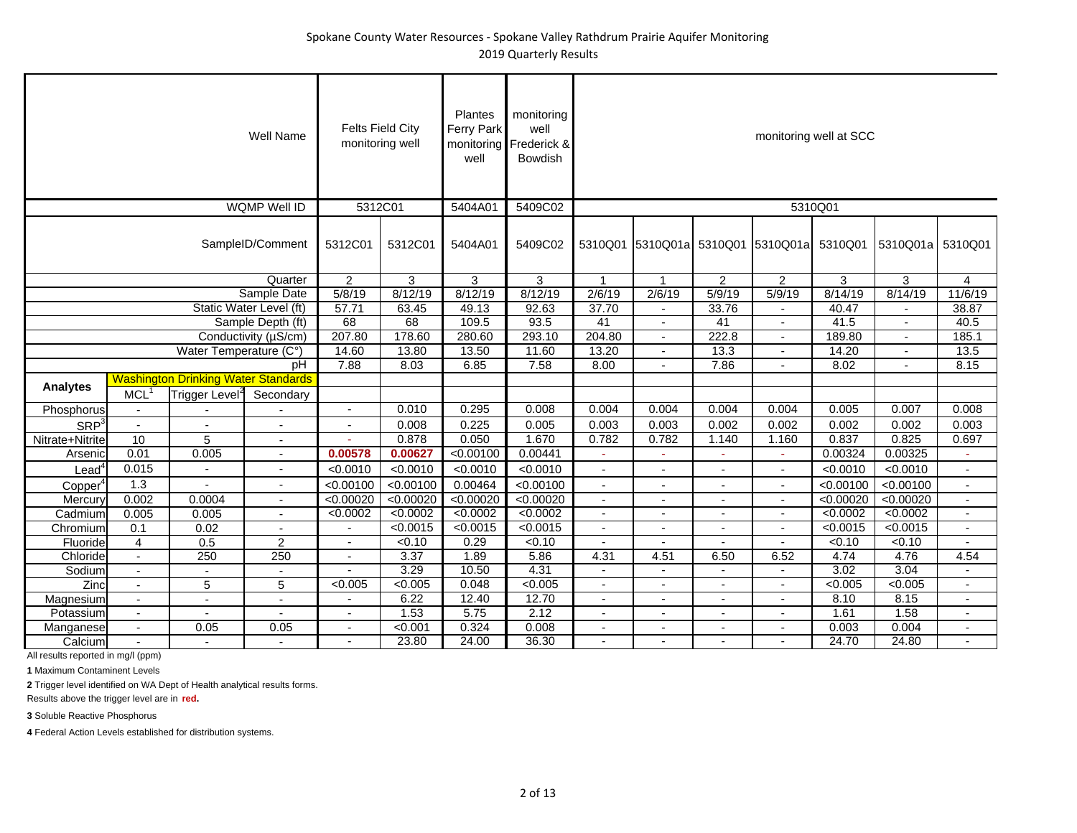|                     |                          |                                            | <b>Well Name</b>         | <b>Felts Field City</b><br>monitoring well |           | Plantes<br><b>Ferry Park</b><br>well | monitoring<br>well<br>monitoring Frederick &<br>Bowdish |                          |                          |                          |                                           | monitoring well at SCC |                  |                          |
|---------------------|--------------------------|--------------------------------------------|--------------------------|--------------------------------------------|-----------|--------------------------------------|---------------------------------------------------------|--------------------------|--------------------------|--------------------------|-------------------------------------------|------------------------|------------------|--------------------------|
|                     |                          |                                            | WQMP Well ID             | 5312C01                                    |           | 5404A01                              | 5409C02                                                 |                          |                          |                          |                                           | 5310Q01                |                  |                          |
|                     |                          |                                            | SampleID/Comment         | 5312C01                                    | 5312C01   | 5404A01                              | 5409C02                                                 |                          |                          |                          | 5310Q01 5310Q01a 5310Q01 5310Q01a 5310Q01 |                        | 5310Q01a 5310Q01 |                          |
|                     |                          |                                            | Quarter                  | $\overline{2}$                             | 3         | 3                                    | 3                                                       | $\mathbf{1}$             | $\overline{1}$           | $\overline{2}$           | $\overline{2}$                            | 3                      | 3                | $\overline{4}$           |
|                     |                          |                                            | Sample Date              | 5/8/19                                     | 8/12/19   | 8/12/19                              | 8/12/19                                                 | 2/6/19                   | 2/6/19                   | 5/9/19                   | 5/9/19                                    | 8/14/19                | 8/14/19          | 11/6/19                  |
|                     |                          |                                            | Static Water Level (ft)  | 57.71                                      | 63.45     | 49.13                                | 92.63                                                   | 37.70                    |                          | 33.76                    | $\overline{\phantom{a}}$                  | 40.47                  |                  | 38.87                    |
|                     |                          |                                            | Sample Depth (ft)        | 68                                         | 68        | 109.5                                | 93.5                                                    | 41                       |                          | $\overline{41}$          |                                           | 41.5                   |                  | 40.5                     |
|                     |                          |                                            | Conductivity (µS/cm)     | 207.80                                     | 178.60    | 280.60                               | 293.10                                                  | 204.80                   | $\overline{a}$           | 222.8                    | $\sim$                                    | 189.80                 | $\overline{a}$   | 185.1                    |
|                     |                          | Water Temperature (C°)                     |                          | 14.60                                      | 13.80     | 13.50                                | 11.60                                                   | 13.20                    |                          | 13.3                     |                                           | 14.20                  |                  | 13.5                     |
|                     |                          |                                            | pH                       | 7.88                                       | 8.03      | 6.85                                 | 7.58                                                    | 8.00                     | $\blacksquare$           | 7.86                     |                                           | 8.02                   |                  | 8.15                     |
|                     |                          | <b>Washington Drinking Water Standards</b> |                          |                                            |           |                                      |                                                         |                          |                          |                          |                                           |                        |                  |                          |
| <b>Analytes</b>     | <b>MCL</b>               | Trigger Level <sup>2</sup>                 | Secondary                |                                            |           |                                      |                                                         |                          |                          |                          |                                           |                        |                  |                          |
| Phosphorus          | $\sim$                   |                                            |                          | $\mathbf{r}$                               | 0.010     | 0.295                                | 0.008                                                   | 0.004                    | 0.004                    | 0.004                    | 0.004                                     | 0.005                  | 0.007            | 0.008                    |
| SRP <sup>3</sup>    | $\blacksquare$           |                                            | Ĭ.                       |                                            | 0.008     | 0.225                                | 0.005                                                   | 0.003                    | 0.003                    | 0.002                    | 0.002                                     | 0.002                  | 0.002            | 0.003                    |
| Nitrate+Nitrite     | 10                       | 5                                          | $\blacksquare$           |                                            | 0.878     | 0.050                                | 1.670                                                   | 0.782                    | 0.782                    | 1.140                    | 1.160                                     | 0.837                  | 0.825            | 0.697                    |
| Arsenic             | 0.01                     | 0.005                                      | $\overline{\phantom{a}}$ | 0.00578                                    | 0.00627   | < 0.00100                            | 0.00441                                                 |                          |                          |                          | ×,                                        | 0.00324                | 0.00325          |                          |
| Lead                | 0.015                    |                                            | $\overline{\phantom{a}}$ | < 0.0010                                   | < 0.0010  | < 0.0010                             | < 0.0010                                                | $\blacksquare$           | $\overline{\phantom{a}}$ |                          | $\overline{\phantom{a}}$                  | < 0.0010               | < 0.0010         | $\overline{\phantom{a}}$ |
| Copper <sup>4</sup> | 1.3                      |                                            | $\overline{\phantom{a}}$ | < 0.00100                                  | < 0.00100 | 0.00464                              | < 0.00100                                               | $\sim$                   | $\overline{\phantom{a}}$ | $\overline{\phantom{a}}$ | $\sim$                                    | < 0.00100              | < 0.00100        | $\sim$                   |
| Mercury             | 0.002                    | 0.0004                                     | $\blacksquare$           | < 0.00020                                  | < 0.00020 | < 0.00020                            | < 0.00020                                               | $\overline{\phantom{a}}$ |                          |                          | $\blacksquare$                            | < 0.00020              | < 0.00020        | $\blacksquare$           |
| Cadmium             | 0.005                    | 0.005                                      | $\overline{\phantom{a}}$ | < 0.0002                                   | < 0.0002  | < 0.0002                             | < 0.0002                                                | $\overline{\phantom{a}}$ |                          | $\sim$                   | $\blacksquare$                            | < 0.0002               | < 0.0002         | $\overline{\phantom{a}}$ |
| Chromium            | 0.1                      | 0.02                                       | $\overline{\phantom{a}}$ |                                            | < 0.0015  | < 0.0015                             | < 0.0015                                                | $\overline{a}$           |                          |                          |                                           | < 0.0015               | < 0.0015         | $\blacksquare$           |
| Fluoride            | $\overline{4}$           | 0.5                                        | $\overline{2}$           |                                            | < 0.10    | 0.29                                 | < 0.10                                                  | $\blacksquare$           |                          |                          |                                           | < 0.10                 | < 0.10           |                          |
| Chloride            | $\sim$                   | 250                                        | 250                      |                                            | 3.37      | 1.89                                 | 5.86                                                    | 4.31                     | 4.51                     | 6.50                     | 6.52                                      | 4.74                   | 4.76             | 4.54                     |
| Sodium              | $\overline{\phantom{a}}$ | $\sim$                                     | $\overline{\phantom{a}}$ |                                            | 3.29      | 10.50                                | 4.31                                                    | $\overline{\phantom{a}}$ | $\blacksquare$           |                          | $\overline{\phantom{a}}$                  | 3.02                   | 3.04             | $\blacksquare$           |
| Zinc                | $\blacksquare$           | 5                                          | 5                        | < 0.005                                    | <0.005    | 0.048                                | < 0.005                                                 | $\sim$                   | $\overline{\phantom{a}}$ | $\overline{\phantom{a}}$ | $\overline{\phantom{a}}$                  | < 0.005                | <0.005           | $\overline{\phantom{a}}$ |
| Magnesium           |                          |                                            | $\overline{\phantom{a}}$ |                                            | 6.22      | 12.40                                | 12.70                                                   | ٠                        |                          |                          |                                           | 8.10                   | 8.15             | $\blacksquare$           |
| Potassium           | $\blacksquare$           | $\overline{\phantom{a}}$                   | $\overline{a}$           | $\overline{a}$                             | 1.53      | 5.75                                 | 2.12                                                    | $\blacksquare$           | $\blacksquare$           |                          |                                           | 1.61                   | 1.58             | $\overline{\phantom{a}}$ |
| Manganese           | $\overline{\phantom{a}}$ | 0.05                                       | 0.05                     | $\overline{\phantom{a}}$                   | < 0.001   | 0.324                                | 0.008                                                   | $\blacksquare$           | $\blacksquare$           | $\overline{\phantom{a}}$ | $\overline{\phantom{a}}$                  | 0.003                  | 0.004            | $\blacksquare$           |
| Calcium             |                          |                                            |                          |                                            | 23.80     | 24.00                                | 36.30                                                   |                          |                          |                          |                                           | 24.70                  | 24.80            |                          |

**1** Maximum Contaminent Levels

**2** Trigger level identified on WA Dept of Health analytical results forms.

Results above the trigger level are in **red.**

**3** Soluble Reactive Phosphorus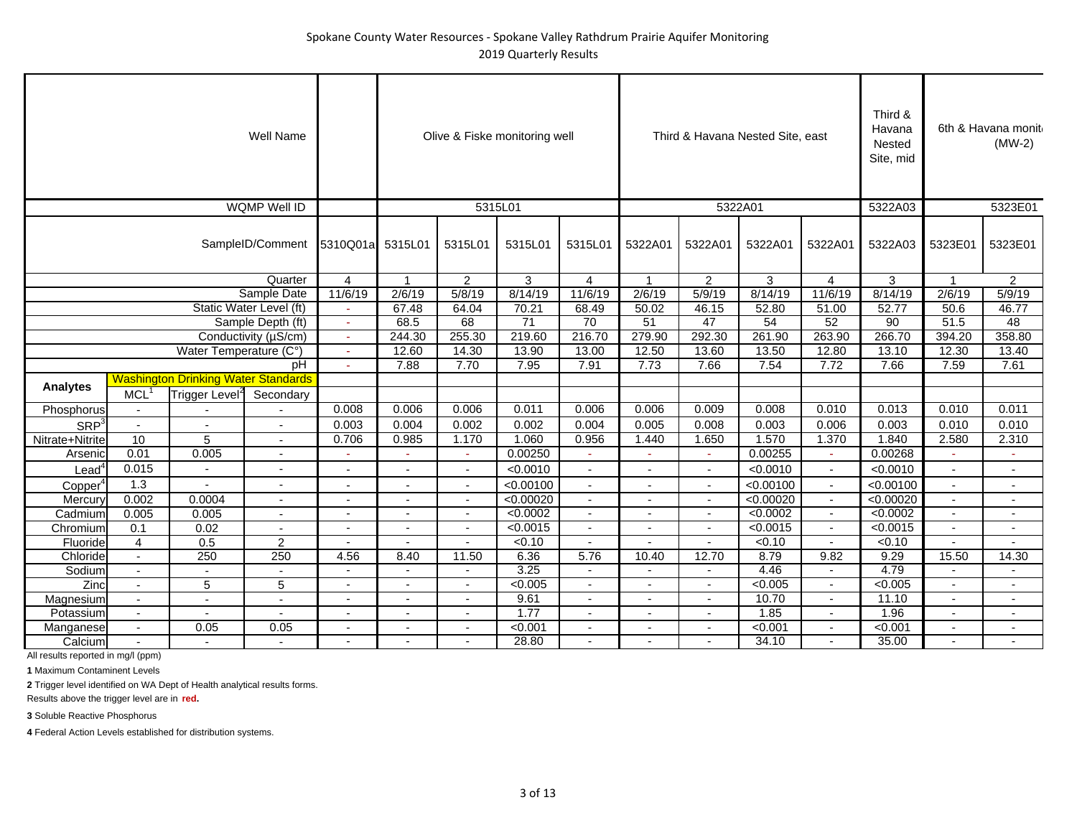|                     |                           |                                            | Well Name                         |                          |                          |                          | Olive & Fiske monitoring well |                          |                          |                          | Third & Havana Nested Site, east |                          | Third &<br>Havana<br>Nested<br>Site, mid |                          | 6th & Havana monit<br>$(MW-2)$ |
|---------------------|---------------------------|--------------------------------------------|-----------------------------------|--------------------------|--------------------------|--------------------------|-------------------------------|--------------------------|--------------------------|--------------------------|----------------------------------|--------------------------|------------------------------------------|--------------------------|--------------------------------|
|                     |                           |                                            | <b>WQMP Well ID</b>               |                          |                          |                          | 5315L01                       |                          |                          | 5322A01                  |                                  |                          | 5322A03                                  |                          | 5323E01                        |
|                     |                           |                                            | SampleID/Comment 5310Q01a 5315L01 |                          |                          | 5315L01                  | 5315L01                       | 5315L01                  | 5322A01                  | 5322A01                  | 5322A01                          | 5322A01                  | 5322A03                                  | 5323E01                  | 5323E01                        |
|                     |                           |                                            | Quarter                           | 4                        |                          | $\overline{2}$           | 3                             | $\overline{4}$           | $\mathbf{1}$             | $\overline{2}$           | 3                                | $\overline{4}$           | 3                                        |                          | $\overline{2}$                 |
|                     |                           |                                            | Sample Date                       | 11/6/19                  | 2/6/19                   | 5/8/19                   | 8/14/19                       | 11/6/19                  | 2/6/19                   | 5/9/19                   | 8/14/19                          | 11/6/19                  | 8/14/19                                  | 2/6/19                   | 5/9/19                         |
|                     |                           |                                            | Static Water Level (ft)           |                          | 67.48                    | 64.04                    | 70.21                         | 68.49                    | 50.02                    | 46.15                    | 52.80                            | 51.00                    | 52.77                                    | 50.6                     | 46.77                          |
|                     |                           |                                            | Sample Depth (ft)                 |                          | 68.5                     | 68                       | $\overline{71}$               | 70                       | 51                       | 47                       | 54                               | 52                       | 90                                       | 51.5                     | 48                             |
|                     |                           |                                            | Conductivity (µS/cm)              |                          | 244.30                   | 255.30                   | 219.60                        | 216.70                   | 279.90                   | 292.30                   | 261.90                           | 263.90                   | 266.70                                   | 394.20                   | 358.80                         |
|                     |                           | Water Temperature (C°)                     |                                   |                          | 12.60                    | 14.30                    | 13.90                         | 13.00                    | 12.50                    | 13.60                    | 13.50                            | 12.80                    | 13.10                                    | 12.30                    | 13.40                          |
|                     |                           |                                            | pH                                |                          | 7.88                     | 7.70                     | 7.95                          | 7.91                     | 7.73                     | 7.66                     | 7.54                             | 7.72                     | 7.66                                     | 7.59                     | 7.61                           |
|                     |                           | <b>Washington Drinking Water Standards</b> |                                   |                          |                          |                          |                               |                          |                          |                          |                                  |                          |                                          |                          |                                |
| <b>Analytes</b>     | $MCL$ <sup>1</sup>        | Trigger Level <sup>2</sup>                 | Secondary                         |                          |                          |                          |                               |                          |                          |                          |                                  |                          |                                          |                          |                                |
| Phosphorus          | $\sim$                    |                                            |                                   | 0.008                    | 0.006                    | 0.006                    | 0.011                         | 0.006                    | 0.006                    | 0.009                    | 0.008                            | 0.010                    | 0.013                                    | 0.010                    | 0.011                          |
| SRP <sup>3</sup>    | $\mathbb{Z}^{\mathbb{Z}}$ | $\overline{a}$                             | $\overline{a}$                    | 0.003                    | 0.004                    | 0.002                    | 0.002                         | 0.004                    | 0.005                    | 0.008                    | 0.003                            | 0.006                    | 0.003                                    | 0.010                    | 0.010                          |
| Nitrate+Nitrite     | 10                        | $\overline{5}$                             | $\sim$                            | 0.706                    | 0.985                    | 1.170                    | 1.060                         | 0.956                    | 1.440                    | 1.650                    | 1.570                            | 1.370                    | 1.840                                    | 2.580                    | 2.310                          |
| Arsenic             | 0.01                      | 0.005                                      | $\sim$                            | $\sim$                   | ٠                        | $\sim$                   | 0.00250                       | ÷                        | r.                       | $\sim$                   | 0.00255                          | ٠                        | 0.00268                                  | ٠                        | $\sim$                         |
| Lead $^{\rm 4}$     | 0.015                     | $\blacksquare$                             | $\overline{\phantom{a}}$          |                          | $\blacksquare$           | $\sim$                   | < 0.0010                      | $\sim$                   | $\blacksquare$           | $\blacksquare$           | < 0.0010                         | $\blacksquare$           | < 0.0010                                 | $\blacksquare$           | $\sim$                         |
| Copper <sup>4</sup> | 1.3                       | $\overline{\phantom{a}}$                   | $\blacksquare$                    |                          | $\overline{\phantom{a}}$ | $\sim$                   | < 0.00100                     | $\overline{\phantom{a}}$ | $\overline{\phantom{a}}$ | $\sim$                   | < 0.00100                        | $\overline{\phantom{a}}$ | < 0.00100                                | $\sim$                   |                                |
| Mercury             | 0.002                     | 0.0004                                     | $\sim$                            |                          | $\overline{\phantom{a}}$ | $\overline{\phantom{a}}$ | < 0.00020                     | $\sim$                   | $\overline{\phantom{a}}$ | $\overline{\phantom{a}}$ | < 0.00020                        | $\sim$                   | < 0.00020                                | $\sim$                   | $\overline{\phantom{a}}$       |
| Cadmium             | 0.005                     | 0.005                                      |                                   |                          |                          |                          | < 0.0002                      |                          |                          |                          | < 0.0002                         | $\blacksquare$           | < 0.0002                                 | $\blacksquare$           |                                |
| Chromium            | 0.1                       | 0.02                                       | $\blacksquare$                    | $\sim$                   | $\overline{a}$           | $\overline{\phantom{a}}$ | < 0.0015                      | $\sim$                   | $\overline{a}$           | $\overline{\phantom{a}}$ | < 0.0015                         | $\overline{\phantom{a}}$ | < 0.0015                                 | $\blacksquare$           | $\sim$                         |
| Fluoride            | $\overline{4}$            | 0.5                                        | $\overline{2}$                    |                          |                          |                          | < 0.10                        | $\overline{\phantom{a}}$ |                          |                          | < 0.10                           |                          | < 0.10                                   |                          |                                |
| Chloride            | $\sim$                    | 250                                        | 250                               | 4.56                     | 8.40                     | 11.50                    | 6.36                          | 5.76                     | 10.40                    | 12.70                    | 8.79                             | 9.82                     | 9.29                                     | 15.50                    | 14.30                          |
| Sodium              | $\sim$                    | $\sim$                                     | $\sim$                            | $\overline{\phantom{a}}$ | $\sim$                   | $\sim$                   | 3.25                          | $\overline{\phantom{a}}$ | $\overline{\phantom{a}}$ | $\sim$                   | 4.46                             | $\blacksquare$           | 4.79                                     | $\blacksquare$           | $\sim$                         |
| Zinc                | $\blacksquare$            | 5                                          | 5                                 |                          | $\blacksquare$           | $\sim$                   | <0.005                        | $\sim$                   | $\overline{\phantom{a}}$ | $\overline{\phantom{a}}$ | < 0.005                          | $\blacksquare$           | < 0.005                                  | $\blacksquare$           | $\sim$                         |
| Magnesium           | $\blacksquare$            | $\blacksquare$                             | $\blacksquare$                    |                          | ä,                       |                          | 9.61                          | $\blacksquare$           |                          |                          | 10.70                            | $\blacksquare$           | 11.10                                    | $\blacksquare$           |                                |
| Potassium           | $\sim$                    | $\overline{a}$                             | $\overline{a}$                    | $\sim$                   | $\blacksquare$           | $\sim$                   | 1.77                          | $\overline{a}$           | $\overline{a}$           | $\sim$                   | 1.85                             | $\overline{a}$           | 1.96                                     | $\overline{\phantom{a}}$ | $\sim$                         |
| Manganese           | $\sim$                    | 0.05                                       | 0.05                              |                          | $\blacksquare$           | $\overline{\phantom{a}}$ | < 0.001                       | $\blacksquare$           | $\blacksquare$           | $\overline{\phantom{a}}$ | < 0.001                          |                          | < 0.001                                  | ٠                        | $\sim$                         |
| Calcium             |                           |                                            |                                   |                          |                          |                          | 28.80                         |                          |                          |                          | 34.10                            |                          | 35.00                                    |                          |                                |

**1** Maximum Contaminent Levels

**2** Trigger level identified on WA Dept of Health analytical results forms.

Results above the trigger level are in **red.**

**3** Soluble Reactive Phosphorus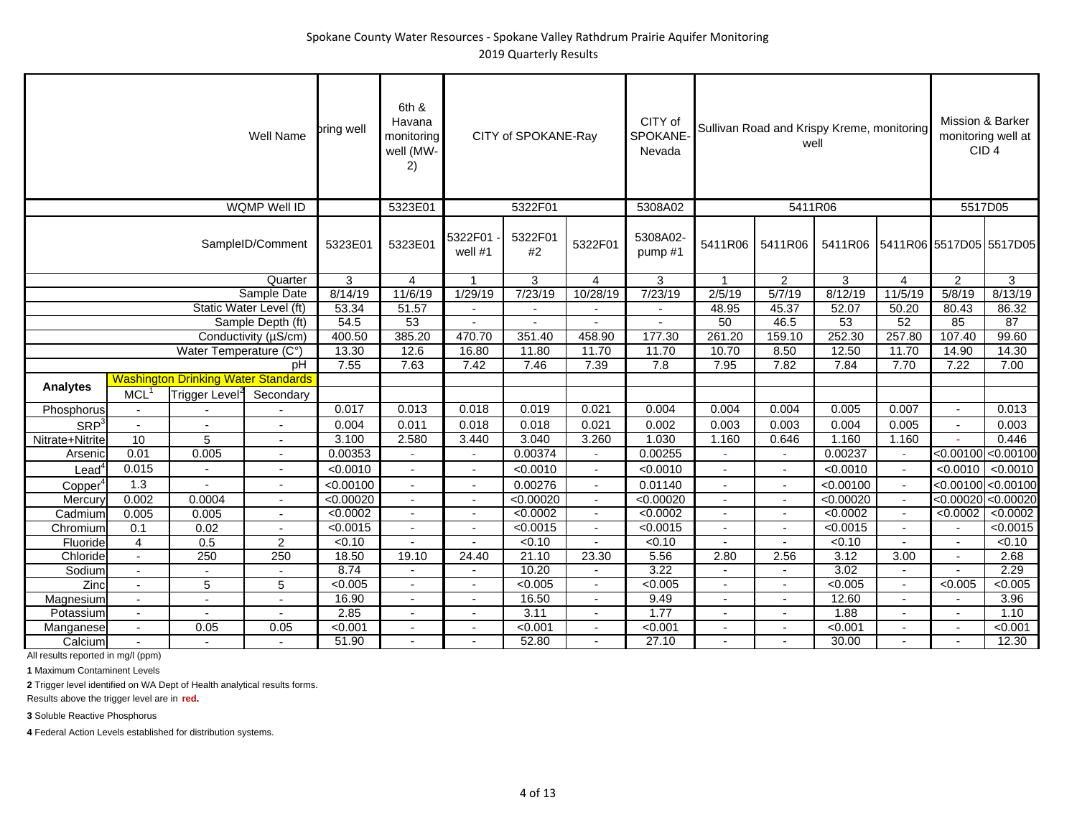|                     |                                                                      |                                            | Well Name                | pring well | 6th &<br>Havana<br>monitoring<br>well (MW-<br>2) |                          | CITY of SPOKANE-Ray |                          | CITY of<br>SPOKANE-<br>Nevada |                          | well                     | Sullivan Road and Krispy Kreme, monitoring |                | Mission & Barker<br>CID <sub>4</sub> | monitoring well at      |
|---------------------|----------------------------------------------------------------------|--------------------------------------------|--------------------------|------------|--------------------------------------------------|--------------------------|---------------------|--------------------------|-------------------------------|--------------------------|--------------------------|--------------------------------------------|----------------|--------------------------------------|-------------------------|
|                     |                                                                      |                                            | <b>WQMP Well ID</b>      |            | 5323E01                                          |                          | 5322F01             |                          | 5308A02                       |                          | 5411R06                  |                                            |                | 5517D05                              |                         |
|                     |                                                                      |                                            | SampleID/Comment         | 5323E01    | 5323E01                                          | 5322F01<br>well #1       | 5322F01<br>$#2$     | 5322F01                  | 5308A02-<br>pump#1            | 5411R06                  | 5411R06                  | 5411R06                                    |                | 5411R06 5517D05 5517D05              |                         |
|                     |                                                                      |                                            | Quarter                  | 3          | 4                                                | 1                        | 3                   | $\overline{4}$           | 3                             | $\mathbf{1}$             | $\overline{2}$           | 3                                          | $\overline{4}$ | 2                                    | 3                       |
|                     |                                                                      |                                            | Sample Date              | 8/14/19    | 11/6/19                                          | 1/29/19                  | 7/23/19             | 10/28/19                 | 7/23/19                       | 2/5/19                   | 5/7/19                   | 8/12/19                                    | 11/5/19        | 5/8/19                               | 8/13/19                 |
|                     |                                                                      |                                            |                          | 53.34      | 51.57                                            | $\blacksquare$           | ÷,                  |                          | $\blacksquare$                | 48.95                    | 45.37                    | 52.07                                      | 50.20          | 80.43                                | 86.32                   |
|                     | Static Water Level (ft)<br>Sample Depth (ft)<br>Conductivity (µS/cm) |                                            |                          | 54.5       | 53                                               | $\overline{\phantom{a}}$ |                     |                          | $\overline{\phantom{a}}$      | 50                       | 46.5                     | $\overline{53}$                            | 52             | 85                                   | $\overline{87}$         |
|                     |                                                                      |                                            |                          | 400.50     | 385.20                                           | 470.70                   | 351.40              | 458.90                   | 177.30                        | 261.20                   | 159.10                   | 252.30                                     | 257.80         | 107.40                               | 99.60                   |
|                     |                                                                      | Water Temperature (C°)                     |                          | 13.30      | 12.6                                             | 16.80                    | 11.80               | 11.70                    | 11.70                         | 10.70                    | 8.50                     | 12.50                                      | 11.70          | 14.90                                | 14.30                   |
|                     |                                                                      |                                            | pH                       | 7.55       | 7.63                                             | 7.42                     | 7.46                | 7.39                     | 7.8                           | 7.95                     | 7.82                     | 7.84                                       | 7.70           | 7.22                                 | 7.00                    |
|                     |                                                                      | <b>Washington Drinking Water Standards</b> |                          |            |                                                  |                          |                     |                          |                               |                          |                          |                                            |                |                                      |                         |
| <b>Analytes</b>     | $MCL$ <sup>1</sup>                                                   | Trigger Level <sup>2</sup>                 | Secondary                |            |                                                  |                          |                     |                          |                               |                          |                          |                                            |                |                                      |                         |
| Phosphorus          | $\overline{\phantom{a}}$                                             |                                            |                          | 0.017      | 0.013                                            | 0.018                    | 0.019               | 0.021                    | 0.004                         | 0.004                    | 0.004                    | 0.005                                      | 0.007          | $\sim$                               | 0.013                   |
| SRP <sup>3</sup>    | $\sim$                                                               |                                            | $\overline{\phantom{a}}$ | 0.004      | 0.011                                            | 0.018                    | 0.018               | 0.021                    | 0.002                         | 0.003                    | 0.003                    | 0.004                                      | 0.005          | $\sim$                               | 0.003                   |
| Nitrate+Nitrite     | 10                                                                   | 5                                          | $\overline{\phantom{a}}$ | 3.100      | 2.580                                            | 3.440                    | 3.040               | 3.260                    | 1.030                         | 1.160                    | 0.646                    | 1.160                                      | 1.160          | $\sim$                               | 0.446                   |
| Arsenic             | 0.01                                                                 | 0.005                                      | $\overline{\phantom{a}}$ | 0.00353    | $\sim$                                           | ۰                        | 0.00374             | ÷                        | 0.00255                       |                          | $\sim$                   | 0.00237                                    |                | < 0.00100                            | < 0.00100               |
| Lead <sup>4</sup>   | 0.015                                                                | $\blacksquare$                             | $\blacksquare$           | < 0.0010   | $\sim$                                           | $\overline{a}$           | < 0.0010            | $\overline{a}$           | < 0.0010                      | $\overline{\phantom{a}}$ | $\overline{a}$           | < 0.0010                                   |                | < 0.0010                             | < 0.0010                |
| Copper <sup>4</sup> | 1.3                                                                  | ÷,                                         | $\blacksquare$           | < 0.00100  | $\sim$                                           | $\blacksquare$           | 0.00276             | $\overline{\phantom{0}}$ | 0.01140                       | ä,                       | $\sim$                   | < 0.00100                                  | $\blacksquare$ |                                      | $<$ 0.00100 $<$ 0.00100 |
| Mercury             | 0.002                                                                | 0.0004                                     | $\blacksquare$           | <0.00020   | $\sim$                                           | $\overline{\phantom{a}}$ | < 0.00020           | $\blacksquare$           | < 0.00020                     | $\blacksquare$           | $\sim$                   | < 0.00020                                  | $\blacksquare$ | < 0.00020                            | < 0.00020               |
| Cadmium             | 0.005                                                                | 0.005                                      | $\blacksquare$           | < 0.0002   | $\overline{\phantom{a}}$                         |                          | < 0.0002            | $\overline{\phantom{a}}$ | < 0.0002                      |                          | $\overline{\phantom{a}}$ | < 0.0002                                   |                | < 0.0002                             | < 0.0002                |
| Chromium            | 0.1                                                                  | 0.02                                       |                          | < 0.0015   | $\overline{\phantom{a}}$                         | $\blacksquare$           | < 0.0015            | $\blacksquare$           | < 0.0015                      | $\blacksquare$           | $\sim$                   | < 0.0015                                   |                | $\sim$                               | < 0.0015                |
| Fluoride            | 4                                                                    | 0.5                                        | $\overline{2}$           | < 0.10     | $\sim$                                           |                          | < 0.10              |                          | < 0.10                        |                          |                          | < 0.10                                     |                |                                      | < 0.10                  |
| Chloride            | $\sim$                                                               | 250                                        | 250                      | 18.50      | 19.10                                            | 24.40                    | 21.10               | 23.30                    | 5.56                          | 2.80                     | 2.56                     | 3.12                                       | 3.00           |                                      | 2.68                    |
| Sodium              | $\mathcal{L}^{\mathcal{A}}$                                          | $\overline{a}$                             |                          | 8.74       | $\sim$                                           | $\blacksquare$           | 10.20               | $\blacksquare$           | 3.22                          |                          | $\blacksquare$           | 3.02                                       |                | $\overline{a}$                       | 2.29                    |
| Zinc                | $\overline{\phantom{a}}$                                             | 5                                          | 5                        | < 0.005    | $\sim$                                           | $\blacksquare$           | < 0.005             | $\blacksquare$           | < 0.005                       |                          | $\overline{a}$           | < 0.005                                    |                | < 0.005                              | < 0.005                 |
| Magnesium           | $\sim$                                                               | ٠                                          | $\overline{\phantom{a}}$ | 16.90      | $\overline{\phantom{a}}$                         | $\blacksquare$           | 16.50               | $\overline{\phantom{a}}$ | 9.49                          | $\overline{\phantom{a}}$ | ٠                        | 12.60                                      | $\blacksquare$ |                                      | 3.96                    |
| Potassium           |                                                                      |                                            |                          | 2.85       | $\blacksquare$                                   | $\blacksquare$           | 3.11                | $\blacksquare$           | 1.77                          |                          | $\overline{a}$           | 1.88                                       |                |                                      | 1.10                    |
| Manganese           | $\blacksquare$                                                       | 0.05                                       | 0.05                     | < 0.001    | $\blacksquare$                                   | $\blacksquare$           | < 0.001             | $\blacksquare$           | < 0.001                       | $\overline{\phantom{a}}$ | $\blacksquare$           | < 0.001                                    |                |                                      | < 0.001                 |
| Calcium             | $\blacksquare$                                                       | $\blacksquare$                             |                          | 51.90      |                                                  |                          | 52.80               |                          | 27.10                         |                          |                          | 30.00                                      |                |                                      | 12.30                   |

**1** Maximum Contaminent Levels

**2** Trigger level identified on WA Dept of Health analytical results forms.

Results above the trigger level are in **red.**

**3** Soluble Reactive Phosphorus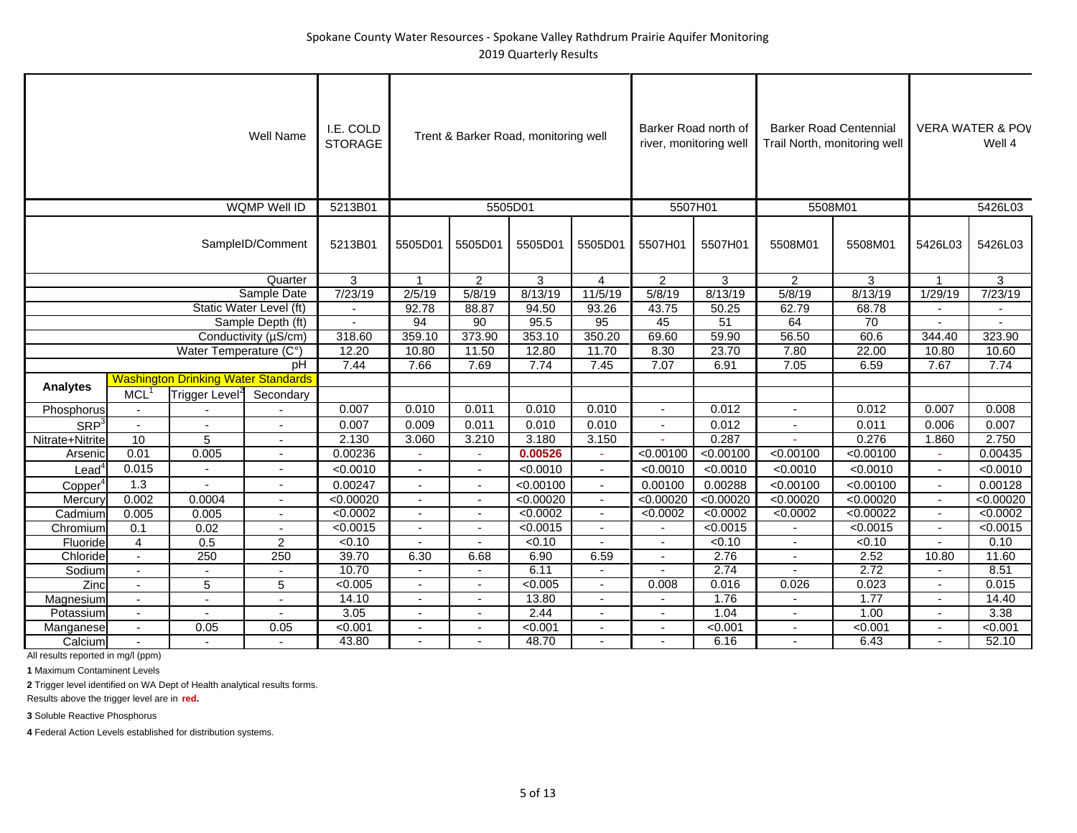|                      |                                                                      |                                            | Well Name                | I.E. COLD<br><b>STORAGE</b> |                          |                          | Trent & Barker Road, monitoring well |                | Barker Road north of<br>river, monitoring well |           | <b>Barker Road Centennial</b><br>Trail North, monitoring well |           |                          | <b>VERA WATER &amp; POV</b><br>Well 4 |
|----------------------|----------------------------------------------------------------------|--------------------------------------------|--------------------------|-----------------------------|--------------------------|--------------------------|--------------------------------------|----------------|------------------------------------------------|-----------|---------------------------------------------------------------|-----------|--------------------------|---------------------------------------|
|                      |                                                                      |                                            | <b>WQMP Well ID</b>      | 5213B01                     |                          |                          | 5505D01                              |                | 5507H01                                        |           | 5508M01                                                       |           |                          | 5426L03                               |
|                      |                                                                      |                                            | SampleID/Comment         | 5213B01                     | 5505D01                  | 5505D01                  | 5505D01                              | 5505D01        | 5507H01                                        | 5507H01   | 5508M01                                                       | 5508M01   | 5426L03                  | 5426L03                               |
|                      |                                                                      |                                            | Quarter                  | $\mathfrak{S}$              | $\overline{1}$           | 2                        | 3                                    | 4              | $\overline{2}$                                 | 3         | 2                                                             | 3         | 1                        | $\mathbf{3}$                          |
|                      |                                                                      |                                            | Sample Date              | 7/23/19                     | 2/5/19                   | 5/8/19                   | 8/13/19                              | 11/5/19        | 5/8/19                                         | 8/13/19   | 5/8/19                                                        | 8/13/19   | 1/29/19                  | 7/23/19                               |
|                      |                                                                      |                                            |                          | $\mathbf{r}$                | 92.78                    | 88.87                    | 94.50                                | 93.26          | 43.75                                          | 50.25     | 62.79                                                         | 68.78     |                          | $\blacksquare$                        |
|                      |                                                                      |                                            |                          | $\blacksquare$              | 94                       | 90                       | 95.5                                 | 95             | 45                                             | 51        | 64                                                            | 70        |                          | $\blacksquare$                        |
|                      | Static Water Level (ft)<br>Sample Depth (ft)<br>Conductivity (µS/cm) |                                            |                          | 318.60                      | 359.10                   | 373.90                   | 353.10                               | 350.20         | 69.60                                          | 59.90     | 56.50                                                         | 60.6      | 344.40                   | 323.90                                |
|                      |                                                                      | Water Temperature (C°)                     |                          | 12.20                       | 10.80                    | 11.50                    | 12.80                                | 11.70          | 8.30                                           | 23.70     | 7.80                                                          | 22.00     | 10.80                    | 10.60                                 |
|                      |                                                                      |                                            | рH                       | 7.44                        | 7.66                     | 7.69                     | 7.74                                 | 7.45           | 7.07                                           | 6.91      | 7.05                                                          | 6.59      | 7.67                     | 7.74                                  |
| <b>Analytes</b>      |                                                                      | <b>Washington Drinking Water Standards</b> |                          |                             |                          |                          |                                      |                |                                                |           |                                                               |           |                          |                                       |
|                      | MCL <sup>1</sup>                                                     | Trigger Level <sup>2</sup>                 | Secondary                |                             |                          |                          |                                      |                |                                                |           |                                                               |           |                          |                                       |
| Phosphorus           | $\overline{\phantom{a}}$                                             |                                            |                          | 0.007                       | 0.010                    | 0.011                    | 0.010                                | 0.010          | $\sim$                                         | 0.012     |                                                               | 0.012     | 0.007                    | 0.008                                 |
| SRP <sup>3</sup>     | $\blacksquare$                                                       |                                            |                          | 0.007                       | 0.009                    | 0.011                    | 0.010                                | 0.010          |                                                | 0.012     |                                                               | 0.011     | 0.006                    | 0.007                                 |
| Nitrate+Nitrite      | 10                                                                   | 5                                          |                          | 2.130                       | 3,060                    | 3.210                    | 3.180                                | 3.150          | $\mathbf{r}$                                   | 0.287     |                                                               | 0.276     | 1.860                    | 2.750                                 |
| Arsenic              | 0.01                                                                 | 0.005                                      | $\sim$                   | 0.00236                     |                          | $\sim$                   | 0.00526                              |                | < 0.00100                                      | < 0.00100 | < 0.00100                                                     | < 0.00100 |                          | 0.00435                               |
| $L$ ead <sup>4</sup> | 0.015                                                                |                                            |                          | < 0.0010                    | $\blacksquare$           | $\blacksquare$           | < 0.0010                             | $\sim$         | < 0.0010                                       | < 0.0010  | < 0.0010                                                      | < 0.0010  | $\blacksquare$           | < 0.0010                              |
| Copper <sup>4</sup>  | 1.3                                                                  |                                            |                          | 0.00247                     | $\overline{a}$           | $\blacksquare$           | < 0.00100                            | $\sim$         | 0.00100                                        | 0.00288   | < 0.00100                                                     | < 0.00100 | $\blacksquare$           | 0.00128                               |
| Mercury              | 0.002                                                                | 0.0004                                     |                          | < 0.00020                   | $\blacksquare$           | $\blacksquare$           | < 0.00020                            | $\sim$         | < 0.00020                                      | < 0.00020 | < 0.00020                                                     | < 0.00020 | $\blacksquare$           | < 0.00020                             |
| Cadmium              | 0.005                                                                | 0.005                                      |                          | < 0.0002                    |                          | $\overline{\phantom{a}}$ | < 0.0002                             |                | < 0.0002                                       | < 0.0002  | < 0.0002                                                      | < 0.00022 |                          | < 0.0002                              |
| Chromium             | 0.1                                                                  | 0.02                                       |                          | < 0.0015                    | $\blacksquare$           | $\blacksquare$           | < 0.0015                             | $\sim$         |                                                | < 0.0015  |                                                               | < 0.0015  | $\overline{\phantom{a}}$ | < 0.0015                              |
| Fluoride             | $\overline{4}$                                                       | 0.5                                        | $\overline{a}$           | < 0.10                      |                          |                          | < 0.10                               |                |                                                | < 0.10    |                                                               | < 0.10    |                          | 0.10                                  |
| Chloride             | $\sim$                                                               | 250                                        | 250                      | 39.70                       | 6.30                     | 6.68                     | 6.90                                 | 6.59           |                                                | 2.76      |                                                               | 2.52      | 10.80                    | 11.60                                 |
| Sodium               | $\blacksquare$                                                       |                                            |                          | 10.70                       | $\overline{a}$           | $\blacksquare$           | 6.11                                 |                | $\overline{a}$                                 | 2.74      | $\overline{a}$                                                | 2.72      | $\overline{a}$           | 8.51                                  |
| Zinc                 | $\blacksquare$                                                       | 5                                          | 5                        | < 0.005                     | $\blacksquare$           | $\blacksquare$           | < 0.005                              | $\overline{a}$ | 0.008                                          | 0.016     | 0.026                                                         | 0.023     |                          | 0.015                                 |
| Magnesium            | $\blacksquare$                                                       | $\blacksquare$                             | $\overline{\phantom{a}}$ | 14.10                       | $\overline{\phantom{a}}$ | $\overline{\phantom{a}}$ | 13.80                                |                |                                                | 1.76      | $\overline{\phantom{a}}$                                      | 1.77      | $\overline{\phantom{a}}$ | 14.40                                 |
| Potassium            |                                                                      |                                            |                          | 3.05                        |                          |                          | 2.44                                 |                |                                                | 1.04      |                                                               | 1.00      |                          | 3.38                                  |
| Manganese            | $\blacksquare$                                                       | 0.05                                       | 0.05                     | < 0.001                     | $\overline{\phantom{a}}$ | $\blacksquare$           | < 0.001                              |                | $\blacksquare$                                 | < 0.001   | $\blacksquare$                                                | < 0.001   |                          | < 0.001                               |
| Calcium              |                                                                      |                                            |                          | 43.80                       |                          |                          | 48.70                                |                |                                                | 6.16      |                                                               | 6.43      |                          | 52.10                                 |

**1** Maximum Contaminent Levels

**2** Trigger level identified on WA Dept of Health analytical results forms.

Results above the trigger level are in **red.**

**3** Soluble Reactive Phosphorus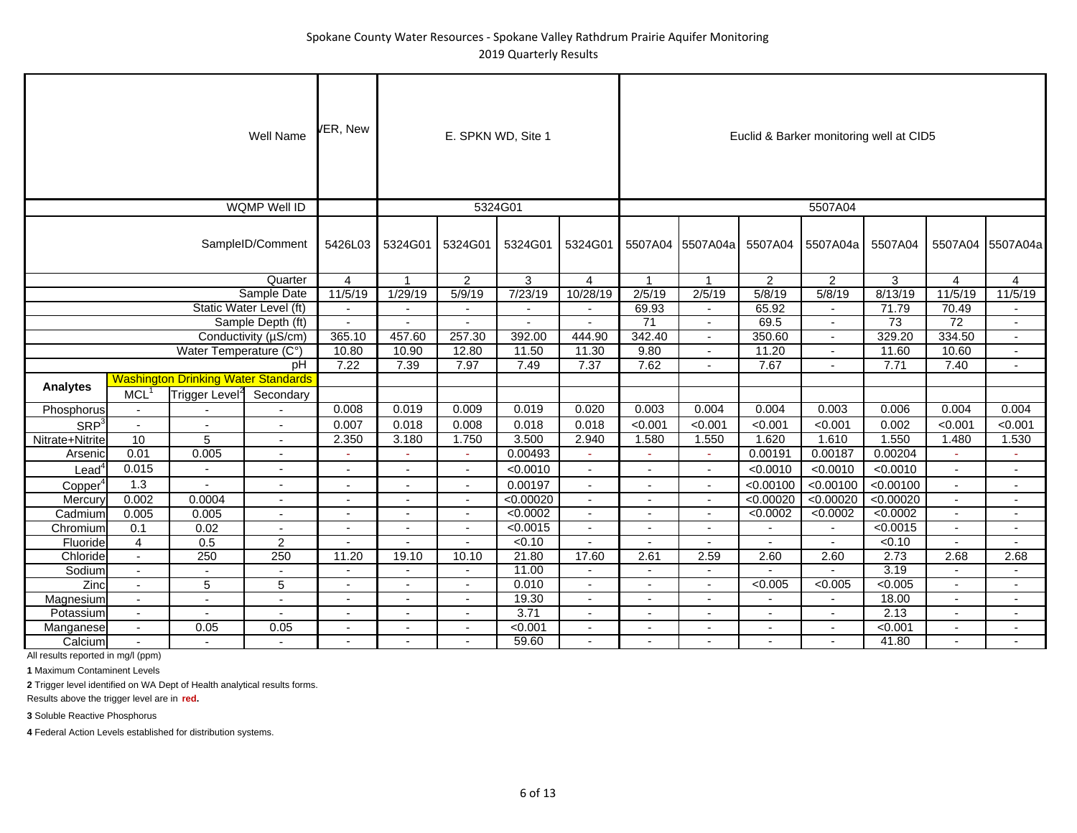## Spokane County Water Resources ‐ Spokane Valley Rathdrum Prairie Aquifer Monitoring 2019 Quarterly Results

|                     |                          |                                            | Well Name                | /ER, New                 |                          |                          | E. SPKN WD, Site 1 |                          |                          |                          |                          | Euclid & Barker monitoring well at CID5 |                 |                 |                          |
|---------------------|--------------------------|--------------------------------------------|--------------------------|--------------------------|--------------------------|--------------------------|--------------------|--------------------------|--------------------------|--------------------------|--------------------------|-----------------------------------------|-----------------|-----------------|--------------------------|
|                     |                          |                                            | <b>WQMP Well ID</b>      |                          |                          |                          | 5324G01            |                          |                          |                          |                          | 5507A04                                 |                 |                 |                          |
|                     |                          |                                            | SampleID/Comment         | 5426L03                  | 5324G01                  | 5324G01                  | 5324G01            | 5324G01                  |                          | 5507A04 5507A04a         | 5507A04                  | 5507A04a                                | 5507A04         | 5507A04         | 5507A04a                 |
|                     |                          |                                            | Quarter                  | 4                        |                          | 2                        | 3                  | $\overline{4}$           | $\mathbf{1}$             | $\mathbf{1}$             | $\overline{2}$           | $\overline{2}$                          | 3               | $\overline{4}$  | 4                        |
|                     |                          |                                            | Sample Date              | 11/5/19                  | 1/29/19                  | 5/9/19                   | 7/23/19            | 10/28/19                 | 2/5/19                   | 2/5/19                   | 5/8/19                   | 5/8/19                                  | 8/13/19         | 11/5/19         | 11/5/19                  |
|                     |                          |                                            | Static Water Level (ft)  |                          |                          | $\sim$                   |                    |                          | 69.93                    |                          | 65.92                    |                                         | 71.79           | 70.49           |                          |
|                     |                          |                                            | Sample Depth (ft)        | $\sim$                   | $\overline{a}$           | $\sim$                   | $\sim$             | $\mathbf{r}$             | $\overline{71}$          | $\sim$                   | 69.5                     | $\blacksquare$                          | $\overline{73}$ | $\overline{72}$ | $\blacksquare$           |
|                     |                          |                                            | Conductivity (µS/cm)     | 365.10                   | 457.60                   | 257.30                   | 392.00             | 444.90                   | 342.40                   | $\sim$                   | 350.60                   | $\sim$                                  | 329.20          | 334.50          | $\blacksquare$           |
|                     |                          | Water Temperature (C°)                     |                          | 10.80                    | 10.90                    | 12.80                    | 11.50              | 11.30                    | 9.80                     |                          | 11.20                    |                                         | 11.60           | 10.60           | $\overline{\phantom{a}}$ |
|                     |                          |                                            | pH                       | 7.22                     | 7.39                     | 7.97                     | 7.49               | 7.37                     | 7.62                     | $\overline{\phantom{a}}$ | 7.67                     |                                         | 7.71            | 7.40            | $\sim$                   |
|                     |                          | <b>Washington Drinking Water Standards</b> |                          |                          |                          |                          |                    |                          |                          |                          |                          |                                         |                 |                 |                          |
| <b>Analytes</b>     | MCL <sup>1</sup>         | Trigger Level <sup>2</sup>                 | Secondary                |                          |                          |                          |                    |                          |                          |                          |                          |                                         |                 |                 |                          |
| Phosphorus          | $\blacksquare$           |                                            |                          | 0.008                    | 0.019                    | 0.009                    | 0.019              | 0.020                    | 0.003                    | 0.004                    | 0.004                    | 0.003                                   | 0.006           | 0.004           | 0.004                    |
| SRP <sup>3</sup>    | $\mathbf{r}$             | $\overline{a}$                             | $\overline{a}$           | 0.007                    | 0.018                    | 0.008                    | 0.018              | 0.018                    | < 0.001                  | < 0.001                  | < 0.001                  | < 0.001                                 | 0.002           | < 0.001         | < 0.001                  |
| Nitrate+Nitrite     | 10                       | 5                                          | $\blacksquare$           | 2.350                    | 3.180                    | 1.750                    | 3.500              | 2.940                    | 1.580                    | 1.550                    | 1.620                    | 1.610                                   | 1.550           | 1.480           | 1.530                    |
| Arsenic             | 0.01                     | 0.005                                      | $\sim$                   | $\overline{\phantom{a}}$ | ٠                        | $\sim$                   | 0.00493            |                          | $\sim$                   | ÷                        | 0.00191                  | 0.00187                                 | 0.00204         | $\sim$          | ÷                        |
| $\mathsf{Lead}^4$   | 0.015                    | $\blacksquare$                             | $\blacksquare$           | $\overline{a}$           | $\blacksquare$           | $\sim$                   | < 0.0010           | $\blacksquare$           | $\blacksquare$           | $\sim$                   | < 0.0010                 | < 0.0010                                | < 0.0010        | $\blacksquare$  | $\overline{a}$           |
| Copper <sup>4</sup> | 1.3                      | $\sim$                                     | $\blacksquare$           | $\blacksquare$           | $\sim$                   | $\sim$                   | 0.00197            | $\blacksquare$           | $\blacksquare$           | $\blacksquare$           | < 0.00100                | < 0.00100                               | < 0.00100       | $\blacksquare$  | Ĭ.                       |
| Mercury             | 0.002                    | 0.0004                                     | $\sim$                   | $\overline{\phantom{a}}$ | $\blacksquare$           | $\sim$                   | < 0.00020          | $\overline{\phantom{a}}$ | $\blacksquare$           | $\overline{\phantom{a}}$ | < 0.00020                | < 0.00020                               | < 0.00020       | $\sim$          | $\blacksquare$           |
| Cadmium             | 0.005                    | 0.005                                      | $\overline{\phantom{a}}$ | $\blacksquare$           | $\overline{\phantom{a}}$ | $\blacksquare$           | < 0.0002           |                          | $\overline{\phantom{a}}$ | $\blacksquare$           | < 0.0002                 | < 0.0002                                | < 0.0002        | $\blacksquare$  | $\blacksquare$           |
| Chromium            | 0.1                      | 0.02                                       | $\blacksquare$           | $\overline{\phantom{a}}$ | $\overline{\phantom{a}}$ | $\sim$                   | < 0.0015           | $\overline{\phantom{a}}$ | $\overline{\phantom{a}}$ | $\overline{\phantom{a}}$ | $\blacksquare$           | $\sim$                                  | < 0.0015        | $\sim$          | $\overline{\phantom{a}}$ |
| Fluoride            | $\overline{4}$           | 0.5                                        | $\overline{2}$           |                          |                          | $\sim$                   | < 0.10             |                          |                          |                          |                          |                                         | < 0.10          | $\blacksquare$  |                          |
| Chloride            | $\overline{\phantom{a}}$ | 250                                        | 250                      | 11.20                    | 19.10                    | 10.10                    | 21.80              | 17.60                    | 2.61                     | 2.59                     | 2.60                     | 2.60                                    | 2.73            | 2.68            | 2.68                     |
| Sodium              | $\blacksquare$           | $\blacksquare$                             | $\sim$                   | $\overline{a}$           | $\mathbf{r}$             | $\sim$                   | 11.00              | $\sim$                   | $\sim$                   | $\sim$                   | $\overline{a}$           | $\mathbf{r}$                            | 3.19            | $\blacksquare$  | $\mathbf{r}$             |
| Zinc                | $\blacksquare$           | 5                                          | 5                        | $\overline{\phantom{a}}$ | $\blacksquare$           | $\overline{\phantom{a}}$ | 0.010              | $\overline{\phantom{a}}$ | $\overline{\phantom{a}}$ | $\overline{\phantom{a}}$ | < 0.005                  | < 0.005                                 | < 0.005         | $\sim$          | $\blacksquare$           |
| Magnesium           | $\blacksquare$           | $\sim$                                     | ٠                        | $\blacksquare$           | $\overline{\phantom{a}}$ | $\blacksquare$           | 19.30              | $\overline{\phantom{a}}$ | $\overline{\phantom{a}}$ | $\overline{\phantom{a}}$ | $\overline{\phantom{a}}$ |                                         | 18.00           | $\blacksquare$  | $\blacksquare$           |
| Potassium           | $\blacksquare$           | $\overline{\phantom{a}}$                   | ٠                        | $\overline{\phantom{a}}$ | $\blacksquare$           | $\overline{a}$           | 3.71               | $\overline{\phantom{a}}$ | $\blacksquare$           | $\overline{\phantom{a}}$ | $\blacksquare$           | $\sim$                                  | 2.13            | $\sim$          | $\blacksquare$           |
| Manganese           | $\blacksquare$           | 0.05                                       | 0.05                     | $\blacksquare$           |                          | $\sim$                   | < 0.001            | $\overline{\phantom{a}}$ | $\blacksquare$           | $\blacksquare$           | $\blacksquare$           |                                         | < 0.001         | $\blacksquare$  | $\blacksquare$           |
| Calcium             |                          |                                            |                          |                          |                          |                          | 59.60              |                          |                          |                          |                          |                                         | 41.80           |                 |                          |

All results reported in mg/l (ppm)

**1** Maximum Contaminent Levels

**2** Trigger level identified on WA Dept of Health analytical results forms.

Results above the trigger level are in **red.**

**3** Soluble Reactive Phosphorus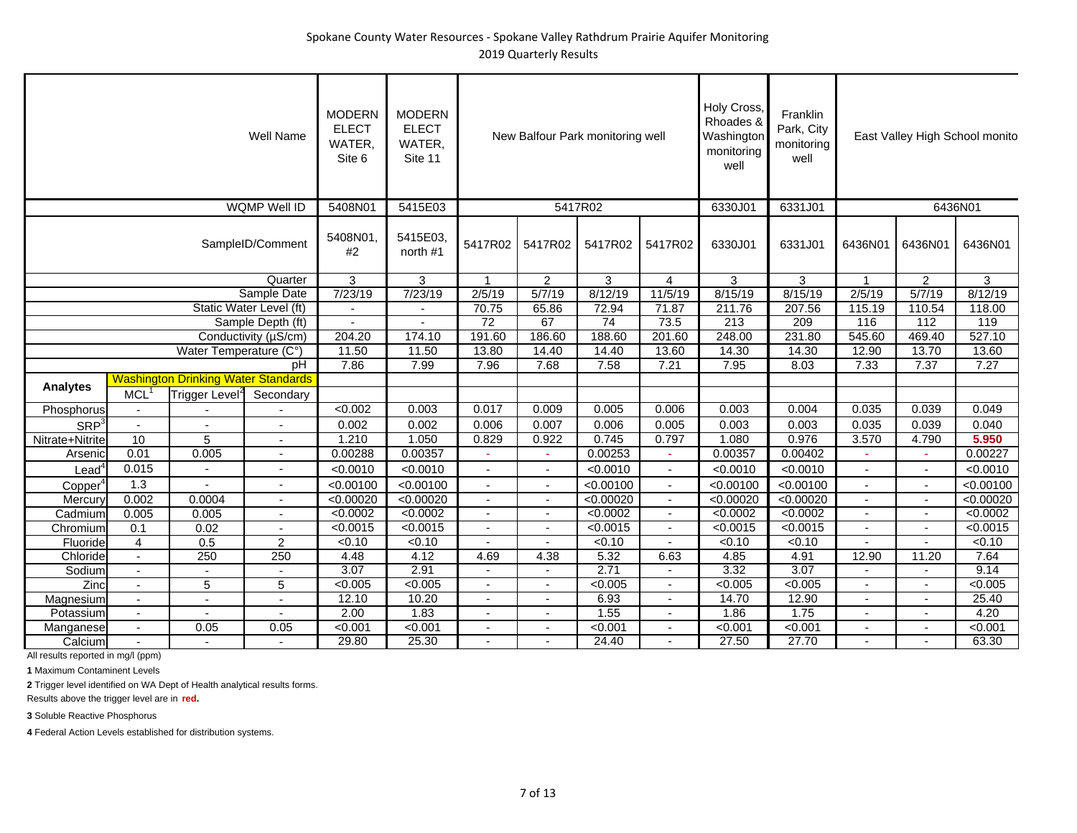|                     |                          |                                            | <b>Well Name</b>         | <b>MODERN</b><br><b>ELECT</b><br>WATER.<br>Site 6 | <b>MODERN</b><br><b>ELECT</b><br>WATER,<br>Site 11 |                          |                          | New Balfour Park monitoring well |                          | Holy Cross,<br>Rhoades &<br>Washington<br>monitoring<br>well | Franklin<br>Park, City<br>monitoring<br>well |                          |                          | East Valley High School monito |
|---------------------|--------------------------|--------------------------------------------|--------------------------|---------------------------------------------------|----------------------------------------------------|--------------------------|--------------------------|----------------------------------|--------------------------|--------------------------------------------------------------|----------------------------------------------|--------------------------|--------------------------|--------------------------------|
|                     |                          |                                            | <b>WQMP Well ID</b>      | 5408N01                                           | 5415E03                                            |                          |                          | 5417R02                          |                          | 6330J01                                                      | 6331J01                                      |                          | 6436N01                  |                                |
|                     |                          |                                            | SampleID/Comment         | 5408N01<br>#2                                     | 5415E03.<br>north #1                               | 5417R02                  | 5417R02                  | 5417R02                          | 5417R02                  | 6330J01                                                      | 6331J01                                      | 6436N01                  | 6436N01                  | 6436N01                        |
|                     |                          |                                            | Quarter                  | 3                                                 | 3                                                  | 1                        | 2                        | 3                                | 4                        | 3                                                            | 3                                            | 1                        | $\overline{2}$           | 3                              |
|                     |                          |                                            | Sample Date              | 7/23/19                                           | 7/23/19                                            | 2/5/19                   | 5/7/19                   | 8/12/19                          | 11/5/19                  | 8/15/19                                                      | 8/15/19                                      | 2/5/19                   | 5/7/19                   | 8/12/19                        |
|                     |                          |                                            | Static Water Level (ft)  | $\mathbf{r}$                                      |                                                    | 70.75                    | 65.86                    | 72.94                            | 71.87                    | 211.76                                                       | 207.56                                       | 115.19                   | 110.54                   | 118.00                         |
|                     |                          |                                            | Sample Depth (ft)        |                                                   |                                                    | $\overline{72}$          | 67                       | $\overline{74}$                  | 73.5                     | 213                                                          | 209                                          | 116                      | $\overline{112}$         | 119                            |
|                     |                          |                                            | Conductivity (µS/cm)     | 204.20                                            | 174.10                                             | 191.60                   | 186.60                   | 188.60                           | 201.60                   | 248.00                                                       | 231.80                                       | 545.60                   | 469.40                   | 527.10                         |
|                     |                          | Water Temperature (C°)                     |                          | 11.50                                             | 11.50                                              | 13.80                    | 14.40                    | 14.40                            | 13.60                    | 14.30                                                        | 14.30                                        | 12.90                    | 13.70                    | 13.60                          |
|                     |                          |                                            | pH                       | 7.86                                              | 7.99                                               | 7.96                     | 7.68                     | 7.58                             | 7.21                     | 7.95                                                         | 8.03                                         | 7.33                     | 7.37                     | 7.27                           |
|                     |                          | <b>Washington Drinking Water Standards</b> |                          |                                                   |                                                    |                          |                          |                                  |                          |                                                              |                                              |                          |                          |                                |
| <b>Analytes</b>     | MCL <sup>1</sup>         | Trigger Level <sup>2</sup>                 | Secondary                |                                                   |                                                    |                          |                          |                                  |                          |                                                              |                                              |                          |                          |                                |
| Phosphorus          | $\blacksquare$           |                                            |                          | < 0.002                                           | 0.003                                              | 0.017                    | 0.009                    | 0.005                            | 0.006                    | 0.003                                                        | 0.004                                        | 0.035                    | 0.039                    | 0.049                          |
| SRP <sup>3</sup>    | $\mathbb{Z}^2$           | $\overline{a}$                             | $\overline{a}$           | 0.002                                             | 0.002                                              | 0.006                    | 0.007                    | 0.006                            | 0.005                    | 0.003                                                        | 0.003                                        | 0.035                    | 0.039                    | 0.040                          |
| Nitrate+Nitrite     | 10                       | 5                                          | $\blacksquare$           | 1.210                                             | 1.050                                              | 0.829                    | 0.922                    | 0.745                            | 0.797                    | 1.080                                                        | 0.976                                        | 3.570                    | 4.790                    | 5.950                          |
| Arsenic             | 0.01                     | 0.005                                      | $\sim$                   | 0.00288                                           | 0.00357                                            | $\sim$                   | ×,                       | 0.00253                          | $\sim$                   | 0.00357                                                      | 0.00402                                      |                          |                          | 0.00227                        |
| Lead <sup>4</sup>   | 0.015                    | $\blacksquare$                             | $\overline{\phantom{a}}$ | < 0.0010                                          | < 0.0010                                           | $\blacksquare$           | $\blacksquare$           | < 0.0010                         | $\sim$                   | < 0.0010                                                     | < 0.0010                                     | $\overline{a}$           | $\overline{\phantom{a}}$ | < 0.0010                       |
| Copper <sup>4</sup> | 1.3                      |                                            | $\sim$                   | < 0.00100                                         | < 0.00100                                          | $\blacksquare$           | $\blacksquare$           | < 0.00100                        | $\blacksquare$           | < 0.00100                                                    | < 0.00100                                    | $\sim$                   | $\blacksquare$           | < 0.00100                      |
| Mercury             | 0.002                    | 0.0004                                     | $\sim$                   | < 0.00020                                         | < 0.00020                                          | $\blacksquare$           | $\overline{\phantom{a}}$ | < 0.00020                        | $\blacksquare$           | < 0.00020                                                    | < 0.00020                                    | $\blacksquare$           | $\blacksquare$           | < 0.00020                      |
| Cadmium             | 0.005                    | 0.005                                      |                          | < 0.0002                                          | < 0.0002                                           | $\overline{\phantom{a}}$ | $\overline{\phantom{a}}$ | < 0.0002                         | $\sim$                   | < 0.0002                                                     | < 0.0002                                     |                          |                          | <0.0002                        |
| Chromium            | 0.1                      | 0.02                                       |                          | < 0.0015                                          | < 0.0015                                           | $\blacksquare$           | $\sim$                   | < 0.0015                         | $\sim$                   | < 0.0015                                                     | < 0.0015                                     | $\overline{\phantom{a}}$ | $\overline{\phantom{a}}$ | < 0.0015                       |
| Fluoride            | $\overline{4}$           | 0.5                                        | $\overline{2}$           | < 0.10                                            | < 0.10                                             |                          | $\overline{a}$           | < 0.10                           |                          | 50.10                                                        | < 0.10                                       |                          |                          | < 0.10                         |
| Chloride            | $\blacksquare$           | 250                                        | 250                      | 4.48                                              | 4.12                                               | 4.69                     | 4.38                     | 5.32                             | 6.63                     | 4.85                                                         | 4.91                                         | 12.90                    | 11.20                    | 7.64                           |
| Sodium              | $\sim$                   |                                            | $\sim$                   | 3.07                                              | 2.91                                               | $\blacksquare$           | $\sim$                   | 2.71                             | $\blacksquare$           | 3.32                                                         | 3.07                                         | $\sim$                   | $\overline{a}$           | 9.14                           |
| Zinc                | $\overline{\phantom{a}}$ | 5                                          | 5                        | < 0.005                                           | < 0.005                                            | $\blacksquare$           | $\overline{\phantom{a}}$ | < 0.005                          | $\sim$                   | < 0.005                                                      | < 0.005                                      | $\overline{a}$           |                          | < 0.005                        |
| Magnesium           | $\overline{\phantom{a}}$ | $\blacksquare$                             | $\overline{\phantom{a}}$ | 12.10                                             | 10.20                                              | $\overline{\phantom{a}}$ | $\overline{\phantom{a}}$ | 6.93                             | $\overline{\phantom{a}}$ | 14.70                                                        | 12.90                                        | $\blacksquare$           |                          | 25.40                          |
| Potassium           | $\blacksquare$           |                                            |                          | 2.00                                              | 1.83                                               |                          |                          | 1.55                             |                          | 1.86                                                         | 1.75                                         |                          |                          | 4.20                           |
| Manganese           | $\overline{\phantom{a}}$ | 0.05                                       | 0.05                     | < 0.001                                           | < 0.001                                            | $\overline{\phantom{a}}$ | $\overline{\phantom{a}}$ | < 0.001                          | $\sim$                   | < 0.001                                                      | < 0.001                                      | $\overline{\phantom{a}}$ |                          | < 0.001                        |
| Calcium             |                          |                                            |                          | 29.80                                             | 25.30                                              |                          |                          | 24.40                            |                          | 27.50                                                        | 27.70                                        |                          |                          | 63.30                          |

**1** Maximum Contaminent Levels

**2** Trigger level identified on WA Dept of Health analytical results forms.

Results above the trigger level are in **red.**

**3** Soluble Reactive Phosphorus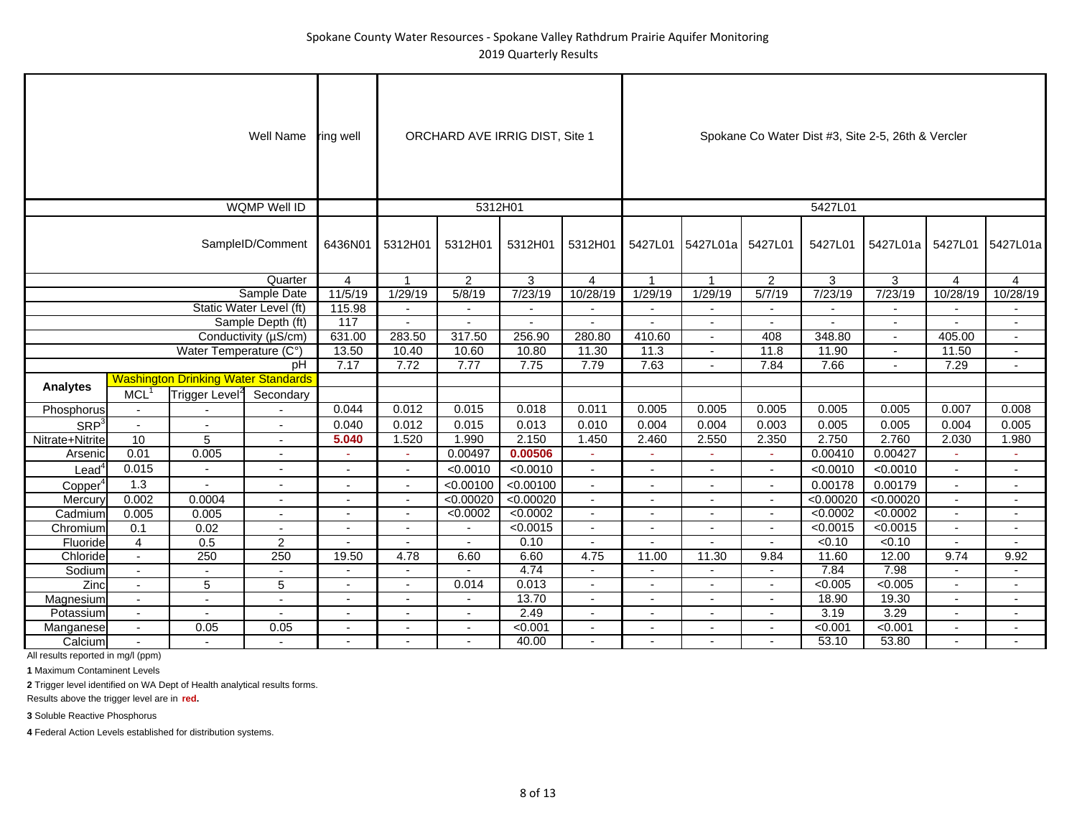|                      |                          |                                            | Well Name                | ring well                |                          |                | ORCHARD AVE IRRIG DIST, Site 1 |                          |                          |                          |                          |              | Spokane Co Water Dist #3, Site 2-5, 26th & Vercler |                |                          |
|----------------------|--------------------------|--------------------------------------------|--------------------------|--------------------------|--------------------------|----------------|--------------------------------|--------------------------|--------------------------|--------------------------|--------------------------|--------------|----------------------------------------------------|----------------|--------------------------|
|                      |                          |                                            | WQMP Well ID             |                          |                          | 5312H01        |                                |                          |                          |                          |                          | 5427L01      |                                                    |                |                          |
|                      |                          |                                            | SampleID/Comment         | 6436N01                  | 5312H01                  | 5312H01        | 5312H01                        | 5312H01                  |                          | 5427L01 5427L01a         | 5427L01                  | 5427L01      | 5427L01a                                           | 5427L01        | 5427L01a                 |
|                      |                          |                                            | Quarter                  | 4                        | $\mathbf 1$              | 2              | 3                              | $\overline{4}$           | $\overline{1}$           | $\overline{1}$           | $\overline{2}$           | 3            | 3                                                  | 4              | $\overline{4}$           |
|                      |                          |                                            | Sample Date              | 11/5/19                  | 1/29/19                  | 5/8/19         | 7/23/19                        | 10/28/19                 | 1/29/19                  | 1/29/19                  | 5/7/19                   | 7/23/19      | 7/23/19                                            | 10/28/19       | 10/28/19                 |
|                      |                          |                                            | Static Water Level (ft)  | 115.98                   | $\sim$                   | $\blacksquare$ | $\mathbf{r}$                   | $\mathbf{r}$             |                          | $\blacksquare$           | $\mathbf{r}$             | $\mathbf{r}$ | $\sim$                                             | $\sim$         | $\blacksquare$           |
|                      |                          |                                            | Sample Depth (ft)        | $\overline{117}$         | $\sim$                   | $\blacksquare$ | $\blacksquare$                 | $\blacksquare$           |                          | $\blacksquare$           | $\overline{\phantom{a}}$ |              |                                                    |                | $\blacksquare$           |
|                      |                          |                                            | Conductivity (µS/cm)     | 631.00                   | 283.50                   | 317.50         | 256.90                         | 280.80                   | 410.60                   | $\overline{\phantom{a}}$ | 408                      | 348.80       |                                                    | 405.00         | $\overline{\phantom{a}}$ |
|                      |                          | Water Temperature (C°)                     |                          | 13.50                    | 10.40                    | 10.60          | 10.80                          | 11.30                    | 11.3                     | $\sim$                   | 11.8                     | 11.90        | $\blacksquare$                                     | 11.50          | $\sim$                   |
|                      |                          |                                            | pH                       | 7.17                     | 7.72                     | 7.77           | 7.75                           | 7.79                     | 7.63                     | $\sim$                   | 7.84                     | 7.66         |                                                    | 7.29           | $\mathbf{r}$             |
|                      |                          | <b>Washington Drinking Water Standards</b> |                          |                          |                          |                |                                |                          |                          |                          |                          |              |                                                    |                |                          |
| <b>Analytes</b>      | MCL <sup>1</sup>         | Trigger Level <sup>2</sup>                 | Secondary                |                          |                          |                |                                |                          |                          |                          |                          |              |                                                    |                |                          |
| Phosphorus           | $\overline{\phantom{a}}$ |                                            |                          | 0.044                    | 0.012                    | 0.015          | 0.018                          | 0.011                    | 0.005                    | 0.005                    | 0.005                    | 0.005        | 0.005                                              | 0.007          | 0.008                    |
| SRP <sup>3</sup>     | $\mathbf{r}$             | $\overline{a}$                             | $\overline{a}$           | 0.040                    | 0.012                    | 0.015          | 0.013                          | 0.010                    | 0.004                    | 0.004                    | 0.003                    | 0.005        | 0.005                                              | 0.004          | 0.005                    |
| Nitrate+Nitrite      | 10                       | 5                                          | $\sim$                   | 5.040                    | 1.520                    | 1.990          | 2.150                          | 1.450                    | 2.460                    | 2.550                    | 2.350                    | 2.750        | 2.760                                              | 2.030          | 1.980                    |
| Arsenic              | 0.01                     | 0.005                                      | $\overline{\phantom{a}}$ | $\sim$                   | $\sim$                   | 0.00497        | 0.00506                        | $\sim$                   | $\sim$                   | ÷.                       | $\sim$                   | 0.00410      | 0.00427                                            |                | $\sim$                   |
| $L$ ead <sup>4</sup> | 0.015                    | $\overline{\phantom{0}}$                   | $\blacksquare$           | $\overline{\phantom{a}}$ | $\blacksquare$           | < 0.0010       | < 0.0010                       | $\overline{\phantom{a}}$ | $\overline{\phantom{a}}$ | $\sim$                   | $\overline{\phantom{a}}$ | < 0.0010     | < 0.0010                                           | $\sim$         | $\overline{\phantom{a}}$ |
| Copper <sup>4</sup>  | 1.3                      | $\overline{\phantom{a}}$                   | $\overline{\phantom{a}}$ | $\overline{\phantom{a}}$ | $\sim$                   | < 0.00100      | < 0.00100                      | $\overline{\phantom{a}}$ | $\overline{\phantom{a}}$ | $\sim$                   | $\overline{\phantom{a}}$ | 0.00178      | 0.00179                                            | $\sim$         | $\sim$                   |
| Mercury              | 0.002                    | 0.0004                                     | $\overline{\phantom{a}}$ | $\overline{\phantom{a}}$ | $\overline{\phantom{a}}$ | < 0.00020      | < 0.00020                      | $\sim$                   |                          | ٠                        | $\overline{\phantom{a}}$ | <0.00020     | < 0.00020                                          |                | $\blacksquare$           |
| Cadmium              | 0.005                    | 0.005                                      | $\sim$                   | $\blacksquare$           | $\sim$                   | < 0.0002       | < 0.0002                       | $\sim$                   |                          | $\blacksquare$           | $\blacksquare$           | < 0.0002     | < 0.0002                                           | $\sim$         | $\blacksquare$           |
| Chromium             | 0.1                      | 0.02                                       | $\overline{a}$           |                          | $\blacksquare$           | $\blacksquare$ | < 0.0015                       | $\overline{a}$           |                          | $\blacksquare$           | $\overline{\phantom{a}}$ | < 0.0015     | < 0.0015                                           | $\sim$         | $\blacksquare$           |
| Fluoride             | $\overline{4}$           | 0.5                                        | $\overline{2}$           |                          |                          |                | 0.10                           |                          |                          |                          | $\mathbf{r}$             | < 0.10       | < 0.10                                             | $\mathbf{r}$   |                          |
| Chloride             | $\mathcal{L}^{\pm}$      | 250                                        | 250                      | 19.50                    | 4.78                     | 6.60           | 6.60                           | 4.75                     | 11.00                    | 11.30                    | 9.84                     | 11.60        | 12.00                                              | 9.74           | 9.92                     |
| Sodium               | $\overline{\phantom{a}}$ | $\blacksquare$                             | $\overline{\phantom{a}}$ |                          | $\blacksquare$           |                | 4.74                           |                          |                          | $\blacksquare$           | $\blacksquare$           | 7.84         | 7.98                                               | $\sim$         | $\blacksquare$           |
| Zinc                 | $\sim$                   | 5                                          | 5                        |                          | $\overline{\phantom{a}}$ | 0.014          | 0.013                          | $\overline{\phantom{a}}$ |                          | ٠                        | $\overline{\phantom{a}}$ | < 0.005      | < 0.005                                            |                | $\overline{\phantom{a}}$ |
| Magnesium            | $\blacksquare$           | $\overline{a}$                             | $\sim$                   | $\blacksquare$           | $\blacksquare$           | $\blacksquare$ | 13.70                          | $\blacksquare$           |                          | $\blacksquare$           | $\overline{\phantom{a}}$ | 18.90        | 19.30                                              | $\blacksquare$ | $\blacksquare$           |
| Potassium            | $\sim$                   | $\overline{a}$                             |                          |                          |                          | $\blacksquare$ | 2.49                           | $\overline{a}$           |                          | ٠                        | $\overline{a}$           | 3.19         | 3.29                                               | $\sim$         | $\overline{\phantom{a}}$ |
| Manganese            | $\blacksquare$           | 0.05                                       | 0.05                     |                          |                          |                | < 0.001                        |                          |                          |                          |                          | < 0.001      | < 0.001                                            |                |                          |
| Calcium              | $\sim$                   | $\sim$                                     | $\overline{a}$           |                          |                          | $\overline{a}$ | 40.00                          | $\overline{a}$           |                          | ٠                        |                          | 53.10        | 53.80                                              |                | $\sim$                   |

**1** Maximum Contaminent Levels

**2** Trigger level identified on WA Dept of Health analytical results forms.

Results above the trigger level are in **red.**

**3** Soluble Reactive Phosphorus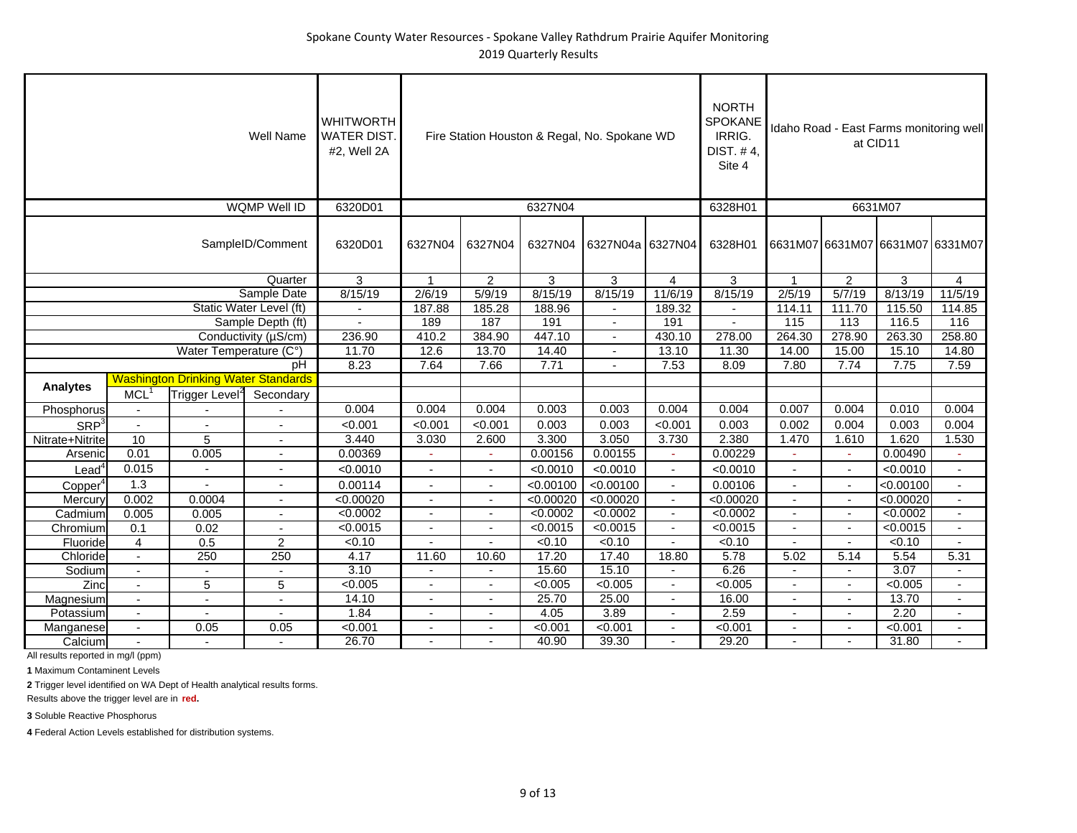|                     |                          |                                            | <b>Well Name</b>        | <b>WHITWORTH</b><br><b>WATER DIST.</b><br>#2, Well 2A |                          |                          |           | Fire Station Houston & Regal, No. Spokane WD |                | <b>NORTH</b><br>SPOKANE<br>IRRIG.<br>DIST. #4,<br>Site 4 |                |                          | Idaho Road - East Farms monitoring well<br>at CID11 |                          |
|---------------------|--------------------------|--------------------------------------------|-------------------------|-------------------------------------------------------|--------------------------|--------------------------|-----------|----------------------------------------------|----------------|----------------------------------------------------------|----------------|--------------------------|-----------------------------------------------------|--------------------------|
|                     |                          |                                            | <b>WQMP Well ID</b>     | 6320D01                                               |                          |                          | 6327N04   |                                              |                | 6328H01                                                  |                |                          | 6631M07                                             |                          |
|                     |                          |                                            | SampleID/Comment        | 6320D01                                               | 6327N04                  | 6327N04                  | 6327N04   | 6327N04a 6327N04                             |                | 6328H01                                                  |                |                          | 6631M07 6631M07 6631M07 6331M07                     |                          |
|                     |                          |                                            | Quarter                 | 3                                                     | $\mathbf{1}$             | $\overline{2}$           | 3         | 3                                            | $\overline{4}$ | 3                                                        | $\overline{1}$ | 2                        | 3                                                   | 4                        |
|                     |                          |                                            | Sample Date             | 8/15/19                                               | 2/6/19                   | 5/9/19                   | 8/15/19   | 8/15/19                                      | 11/6/19        | 8/15/19                                                  | 2/5/19         | 5/7/19                   | 8/13/19                                             | 11/5/19                  |
|                     |                          |                                            | Static Water Level (ft) |                                                       | 187.88                   | 185.28                   | 188.96    |                                              | 189.32         |                                                          | 114.11         | 111.70                   | 115.50                                              | 114.85                   |
|                     |                          |                                            | Sample Depth (ft)       | $\blacksquare$                                        | 189                      | 187                      | 191       | $\blacksquare$                               | 191            | $\blacksquare$                                           | 115            | 113                      | 116.5                                               | 116                      |
|                     |                          |                                            | Conductivity (µS/cm)    | 236.90                                                | 410.2                    | 384.90                   | 447.10    | $\blacksquare$                               | 430.10         | 278.00                                                   | 264.30         | 278.90                   | 263.30                                              | 258.80                   |
|                     |                          | Water Temperature (C°)                     |                         | 11.70                                                 | 12.6                     | 13.70                    | 14.40     |                                              | 13.10          | 11.30                                                    | 14.00          | 15.00                    | 15.10                                               | 14.80                    |
|                     |                          |                                            | pH                      | 8.23                                                  | 7.64                     | 7.66                     | 7.71      | $\blacksquare$                               | 7.53           | 8.09                                                     | 7.80           | 7.74                     | 7.75                                                | 7.59                     |
| <b>Analytes</b>     |                          | <b>Washington Drinking Water Standards</b> |                         |                                                       |                          |                          |           |                                              |                |                                                          |                |                          |                                                     |                          |
|                     | <b>MCL</b>               | Trigger Level <sup>2</sup>                 | Secondary               |                                                       |                          |                          |           |                                              |                |                                                          |                |                          |                                                     |                          |
| Phosphorus          |                          |                                            |                         | 0.004                                                 | 0.004                    | 0.004                    | 0.003     | 0.003                                        | 0.004          | 0.004                                                    | 0.007          | 0.004                    | 0.010                                               | 0.004                    |
| SRP <sup>3</sup>    |                          |                                            |                         | < 0.001                                               | < 0.001                  | < 0.001                  | 0.003     | 0.003                                        | < 0.001        | 0.003                                                    | 0.002          | 0.004                    | 0.003                                               | 0.004                    |
| Nitrate+Nitrite     | 10                       | 5                                          |                         | 3.440                                                 | 3.030                    | 2.600                    | 3.300     | 3.050                                        | 3.730          | 2.380                                                    | 1.470          | 1.610                    | 1.620                                               | 1.530                    |
| Arsenic             | 0.01                     | 0.005                                      | $\sim$                  | 0.00369                                               | ÷.                       | $\omega$                 | 0.00156   | 0.00155                                      | $\sim$         | 0.00229                                                  | $\sim$         | ÷.                       | 0.00490                                             | $\omega$                 |
| $\text{Lead}^4$     | 0.015                    | $\overline{a}$                             |                         | < 0.0010                                              | Ĭ.                       | $\mathbf{r}$             | < 0.0010  | < 0.0010                                     | $\sim$         | < 0.0010                                                 | ÷,             | $\mathbf{r}$             | < 0.0010                                            | $\blacksquare$           |
| Copper <sup>4</sup> | 1.3                      | $\overline{a}$                             |                         | 0.00114                                               |                          | $\blacksquare$           | < 0.00100 | < 0.00100                                    | $\sim$         | 0.00106                                                  |                | $\overline{a}$           | < 0.00100                                           | $\blacksquare$           |
| Mercury             | 0.002                    | 0.0004                                     |                         | < 0.00020                                             | Ĭ.                       | $\blacksquare$           | < 0.00020 | < 0.00020                                    | $\blacksquare$ | < 0.00020                                                | $\blacksquare$ | $\blacksquare$           | < 0.00020                                           | $\overline{a}$           |
| Cadmium             | 0.005                    | 0.005                                      | $\sim$                  | < 0.0002                                              | $\overline{\phantom{a}}$ | $\overline{\phantom{a}}$ | < 0.0002  | < 0.0002                                     | $\blacksquare$ | < 0.0002                                                 | $\blacksquare$ | $\sim$                   | < 0.0002                                            | $\overline{\phantom{a}}$ |
| Chromium            | 0.1                      | 0.02                                       |                         | < 0.0015                                              | $\blacksquare$           | $\overline{\phantom{a}}$ | < 0.0015  | < 0.0015                                     |                | < 0.0015                                                 |                | $\mathbf{r}$             | < 0.0015                                            | $\overline{\phantom{a}}$ |
| Fluoride            | $\overline{4}$           | 0.5                                        | $\overline{2}$          | < 0.10                                                |                          |                          | < 0.10    | < 0.10                                       |                | < 0.10                                                   |                | $\overline{\phantom{a}}$ | < 0.10                                              | $\blacksquare$           |
| Chloride            | $\sim$                   | 250                                        | 250                     | 4.17                                                  | 11.60                    | 10.60                    | 17.20     | 17.40                                        | 18.80          | 5.78                                                     | 5.02           | 5.14                     | 5.54                                                | 5.31                     |
| Sodium              | $\blacksquare$           | $\overline{a}$                             |                         | 3.10                                                  |                          | $\mathbf{r}$             | 15.60     | 15.10                                        |                | 6.26                                                     |                |                          | 3.07                                                |                          |
| Zinc                | $\blacksquare$           | $\overline{5}$                             | 5                       | < 0.005                                               | $\blacksquare$           | $\blacksquare$           | < 0.005   | < 0.005                                      | $\blacksquare$ | < 0.005                                                  |                | $\sim$                   | < 0.005                                             | $\blacksquare$           |
| Magnesium           | $\blacksquare$           | $\sim$                                     | $\sim$                  | 14.10                                                 | ÷,                       | $\blacksquare$           | 25.70     | 25.00                                        | $\blacksquare$ | 16.00                                                    | $\blacksquare$ | $\overline{\phantom{a}}$ | 13.70                                               | $\overline{a}$           |
| Potassium           | $\overline{\phantom{a}}$ |                                            |                         | 1.84                                                  | $\blacksquare$           | $\blacksquare$           | 4.05      | 3.89                                         |                | 2.59                                                     |                | $\blacksquare$           | 2.20                                                |                          |
| Manganese           | $\blacksquare$           | 0.05                                       | 0.05                    | < 0.001                                               | $\blacksquare$           | $\overline{\phantom{a}}$ | < 0.001   | < 0.001                                      | $\blacksquare$ | < 0.001                                                  | $\blacksquare$ | $\blacksquare$           | < 0.001                                             | $\blacksquare$           |
| Calcium             |                          |                                            |                         | 26.70                                                 |                          |                          | 40.90     | 39.30                                        |                | 29.20                                                    |                |                          | 31.80                                               |                          |

**1** Maximum Contaminent Levels

**2** Trigger level identified on WA Dept of Health analytical results forms.

Results above the trigger level are in **red.**

**3** Soluble Reactive Phosphorus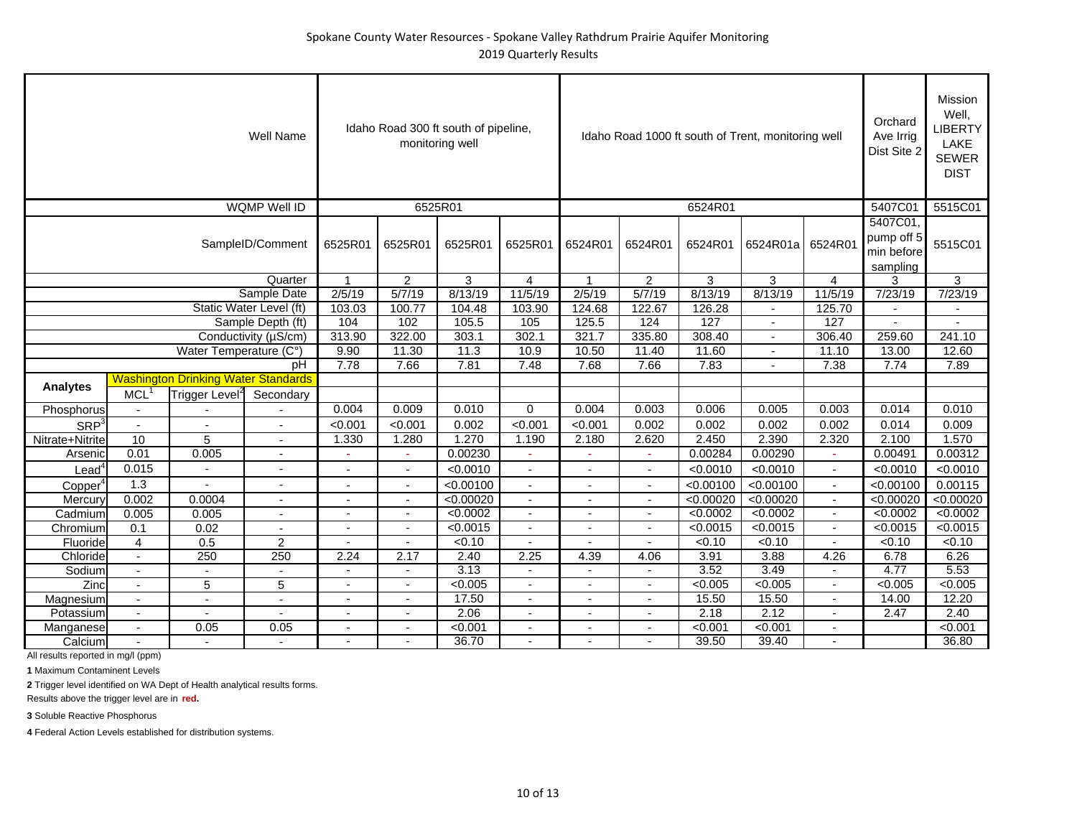|                     |                          |                                            | <b>Well Name</b>        |                          |                          | Idaho Road 300 ft south of pipeline,<br>monitoring well |                          |                |                          |           | Idaho Road 1000 ft south of Trent, monitoring well |                          | Orchard<br>Ave Irrig<br>Dist Site 2              | <b>Mission</b><br>Well,<br>LIBERTY<br>LAKE<br><b>SEWER</b><br><b>DIST</b> |
|---------------------|--------------------------|--------------------------------------------|-------------------------|--------------------------|--------------------------|---------------------------------------------------------|--------------------------|----------------|--------------------------|-----------|----------------------------------------------------|--------------------------|--------------------------------------------------|---------------------------------------------------------------------------|
|                     |                          |                                            | WQMP Well ID            |                          |                          | 6525R01                                                 |                          |                |                          | 6524R01   |                                                    |                          | 5407C01                                          | 5515C01                                                                   |
|                     |                          |                                            | SampleID/Comment        | 6525R01                  | 6525R01                  | 6525R01                                                 | 6525R01                  | 6524R01        | 6524R01                  | 6524R01   | 6524R01a                                           | 6524R01                  | 5407C01,<br>pump off 5<br>min before<br>sampling | 5515C01                                                                   |
|                     |                          |                                            | Quarter                 | 1                        | $\overline{2}$           | 3                                                       | 4                        | $\overline{1}$ | $\overline{c}$           | 3         | 3                                                  | $\overline{4}$           | 3                                                | 3                                                                         |
|                     |                          |                                            | Sample Date             | 2/5/19                   | 5/7/19                   | 8/13/19                                                 | 11/5/19                  | 2/5/19         | 5/7/19                   | 8/13/19   | 8/13/19                                            | 11/5/19                  | 7/23/19                                          | 7/23/19                                                                   |
|                     |                          |                                            | Static Water Level (ft) | 103.03                   | 100.77                   | 104.48                                                  | 103.90                   | 124.68         | 122.67                   | 126.28    |                                                    | 125.70                   |                                                  |                                                                           |
|                     |                          |                                            | Sample Depth (ft)       | 104                      | 102                      | 105.5                                                   | 105                      | 125.5          | 124                      | 127       | $\overline{\phantom{a}}$                           | 127                      | $\overline{\phantom{a}}$                         | $\mathbf{r}$                                                              |
|                     |                          |                                            | Conductivity (µS/cm)    | 313.90                   | 322.00                   | 303.1                                                   | 302.1                    | 321.7          | 335.80                   | 308.40    | $\blacksquare$                                     | 306.40                   | 259.60                                           | 241.10                                                                    |
|                     |                          | Water Temperature (C°)                     |                         | 9.90                     | 11.30                    | 11.3                                                    | 10.9                     | 10.50          | 11.40                    | 11.60     | ٠                                                  | 11.10                    | 13.00                                            | 12.60                                                                     |
|                     |                          |                                            | pH                      | 7.78                     | 7.66                     | 7.81                                                    | 7.48                     | 7.68           | 7.66                     | 7.83      | $\blacksquare$                                     | 7.38                     | 7.74                                             | 7.89                                                                      |
|                     |                          | <b>Washington Drinking Water Standards</b> |                         |                          |                          |                                                         |                          |                |                          |           |                                                    |                          |                                                  |                                                                           |
| <b>Analytes</b>     | <b>MCL</b>               | Trigger Level <sup>2</sup>                 | Secondary               |                          |                          |                                                         |                          |                |                          |           |                                                    |                          |                                                  |                                                                           |
| Phosphorus          | $\overline{\phantom{a}}$ |                                            |                         | 0.004                    | 0.009                    | 0.010                                                   | 0                        | 0.004          | 0.003                    | 0.006     | 0.005                                              | 0.003                    | 0.014                                            | 0.010                                                                     |
| SRP <sup>3</sup>    | $\blacksquare$           |                                            |                         | < 0.001                  | < 0.001                  | 0.002                                                   | < 0.001                  | < 0.001        | 0.002                    | 0.002     | 0.002                                              | 0.002                    | 0.014                                            | 0.009                                                                     |
| Nitrate+Nitrite     | 10                       | 5                                          |                         | 1.330                    | 1.280                    | 1.270                                                   | 1.190                    | 2.180          | 2.620                    | 2.450     | 2.390                                              | 2.320                    | 2.100                                            | 1.570                                                                     |
| Arsenic             | 0.01                     | 0.005                                      |                         |                          | ÷.                       | 0.00230                                                 |                          |                | $\omega$                 | 0.00284   | 0.00290                                            | $\sim$                   | 0.00491                                          | 0.00312                                                                   |
| $\textsf{lead}^4$   | 0.015                    |                                            |                         |                          |                          | < 0.0010                                                | $\blacksquare$           |                | $\sim$                   | < 0.0010  | < 0.0010                                           | $\blacksquare$           | < 0.0010                                         | < 0.0010                                                                  |
| Copper <sup>4</sup> | 1.3                      | $\overline{a}$                             |                         |                          |                          | < 0.00100                                               |                          |                |                          | < 0.00100 | < 0.00100                                          | $\blacksquare$           | < 0.00100                                        | 0.00115                                                                   |
| Mercury             | 0.002                    | 0.0004                                     | $\overline{a}$          | ٠                        | $\overline{\phantom{a}}$ | < 0.00020                                               | $\sim$                   | $\blacksquare$ | $\sim$                   | < 0.00020 | < 0.00020                                          | $\sim$                   | < 0.00020                                        | < 0.00020                                                                 |
| Cadmium             | 0.005                    | 0.005                                      | $\overline{a}$          | ٠                        |                          | < 0.0002                                                | $\overline{\phantom{a}}$ | $\blacksquare$ | $\sim$                   | < 0.0002  | < 0.0002                                           | $\blacksquare$           | < 0.0002                                         | < 0.0002                                                                  |
| Chromium            | 0.1                      | 0.02                                       | $\blacksquare$          | ۰                        |                          | < 0.0015                                                |                          |                |                          | < 0.0015  | < 0.0015                                           | $\overline{\phantom{a}}$ | < 0.0015                                         | < 0.0015                                                                  |
| Fluoride            | $\overline{4}$           | 0.5                                        | 2                       |                          |                          | < 0.10                                                  |                          |                |                          | 50.10     | < 0.10                                             |                          | < 0.10                                           | < 0.10                                                                    |
| Chloride            | $\overline{\phantom{a}}$ | 250                                        | 250                     | 2.24                     | 2.17                     | 2.40                                                    | 2.25                     | 4.39           | 4.06                     | 3.91      | 3.88                                               | 4.26                     | 6.78                                             | 6.26                                                                      |
| Sodium              | $\blacksquare$           |                                            |                         |                          |                          | 3.13                                                    |                          |                |                          | 3.52      | 3.49                                               |                          | 4.77                                             | 5.53                                                                      |
| Zinc                | $\overline{\phantom{a}}$ | 5                                          | 5                       | $\overline{a}$           |                          | < 0.005                                                 | $\overline{a}$           |                | $\sim$                   | < 0.005   | < 0.005                                            | $\overline{a}$           | < 0.005                                          | < 0.005                                                                   |
| Magnesium           | $\sim$                   | ٠                                          | ٠                       | $\overline{\phantom{0}}$ | $\overline{\phantom{0}}$ | 17.50                                                   | $\overline{\phantom{a}}$ | $\blacksquare$ | $\overline{\phantom{a}}$ | 15.50     | 15.50                                              | $\overline{\phantom{a}}$ | 14.00                                            | 12.20                                                                     |
| Potassium           | $\overline{\phantom{a}}$ | $\blacksquare$                             | $\blacksquare$          | $\overline{\phantom{a}}$ |                          | 2.06                                                    |                          | $\blacksquare$ | $\blacksquare$           | 2.18      | 2.12                                               | $\blacksquare$           | 2.47                                             | 2.40                                                                      |
| Manganese           | $\overline{\phantom{a}}$ | 0.05                                       | 0.05                    |                          |                          | < 0.001                                                 |                          |                |                          | < 0.001   | < 0.001                                            |                          |                                                  | < 0.001                                                                   |
| Calcium             | $\overline{\phantom{a}}$ |                                            |                         | $\blacksquare$           |                          | 36.70                                                   | $\blacksquare$           | $\blacksquare$ |                          | 39.50     | 39.40                                              | $\blacksquare$           |                                                  | 36.80                                                                     |

**1** Maximum Contaminent Levels

**2** Trigger level identified on WA Dept of Health analytical results forms.

Results above the trigger level are in **red.**

**3** Soluble Reactive Phosphorus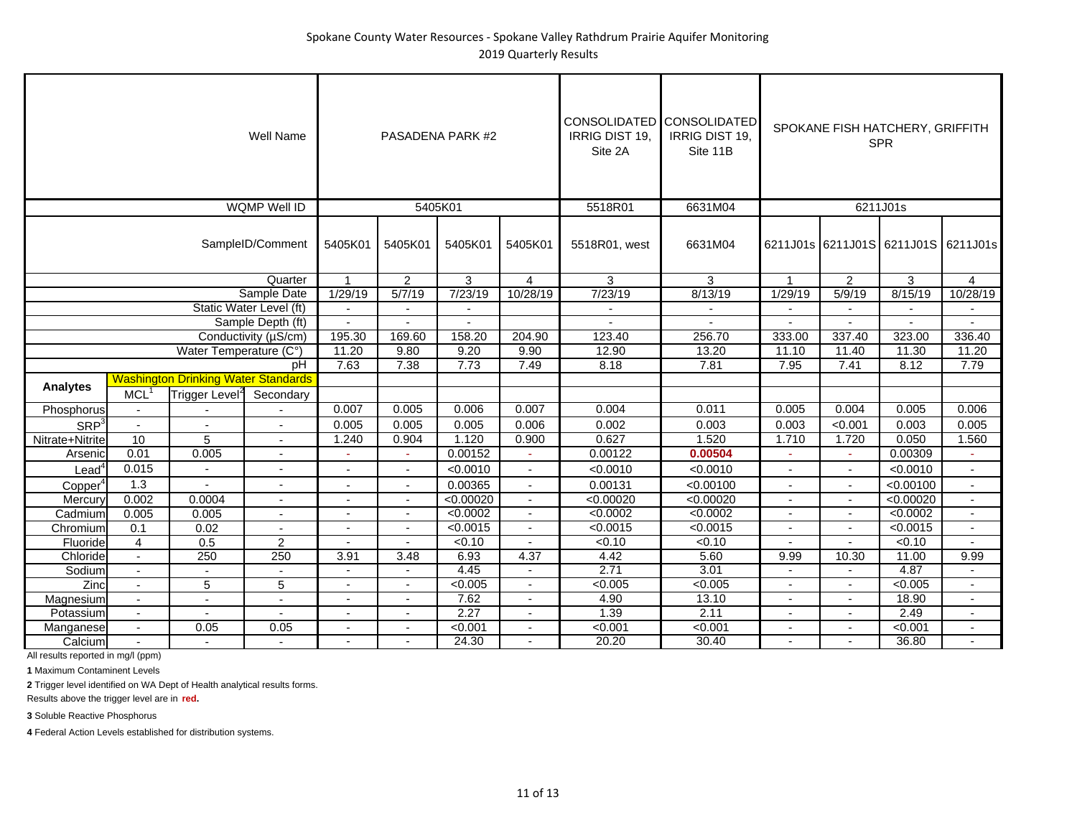|                     |                          |                                            | <b>Well Name</b>         |                          |                          | PASADENA PARK #2         |                          | CONSOLIDATED CONSOLIDATED<br><b>IRRIG DIST 19.</b><br>Site 2A | <b>IRRIG DIST 19.</b><br>Site 11B |                |                          | SPOKANE FISH HATCHERY, GRIFFITH<br><b>SPR</b> |                |
|---------------------|--------------------------|--------------------------------------------|--------------------------|--------------------------|--------------------------|--------------------------|--------------------------|---------------------------------------------------------------|-----------------------------------|----------------|--------------------------|-----------------------------------------------|----------------|
|                     |                          |                                            | <b>WQMP Well ID</b>      |                          | 5405K01                  |                          |                          | 5518R01                                                       | 6631M04                           |                |                          | 6211J01s                                      |                |
|                     |                          |                                            | SampleID/Comment         | 5405K01                  | 5405K01                  | 5405K01                  | 5405K01                  | 5518R01, west                                                 | 6631M04                           |                |                          | 6211J01s 6211J01S 6211J01S 6211J01s           |                |
|                     |                          |                                            | Quarter                  |                          | $\overline{2}$           | 3                        | 4                        | 3                                                             | 3                                 |                | 2                        | 3                                             | $\overline{4}$ |
|                     |                          |                                            | Sample Date              | 1/29/19                  | 5/7/19                   | 7/23/19                  | 10/28/19                 | 7/23/19                                                       | 8/13/19                           | 1/29/19        | 5/9/19                   | 8/15/19                                       | 10/28/19       |
|                     |                          |                                            | Static Water Level (ft)  |                          | $\overline{\phantom{a}}$ |                          |                          |                                                               |                                   |                |                          |                                               |                |
|                     |                          |                                            | Sample Depth (ft)        | $\sim$                   | $\sim$                   | $\overline{\phantom{a}}$ |                          | $\overline{a}$                                                | $\sim$                            | $\sim$         | $\blacksquare$           | $\overline{a}$                                | $\overline{a}$ |
|                     |                          |                                            | Conductivity (µS/cm)     | 195.30                   | 169.60                   | 158.20                   | 204.90                   | 123.40                                                        | 256.70                            | 333.00         | 337.40                   | 323.00                                        | 336.40         |
|                     |                          | Water Temperature (C°)                     |                          | 11.20                    | 9.80                     | 9.20                     | 9.90                     | 12.90                                                         | 13.20                             | 11.10          | 11.40                    | 11.30                                         | 11.20          |
|                     |                          |                                            | pH                       | 7.63                     | 7.38                     | 7.73                     | 7.49                     | 8.18                                                          | 7.81                              | 7.95           | 7.41                     | 8.12                                          | 7.79           |
| <b>Analytes</b>     |                          | <b>Washington Drinking Water Standards</b> |                          |                          |                          |                          |                          |                                                               |                                   |                |                          |                                               |                |
|                     | MCL                      | Trigger Level <sup>2</sup>                 | Secondary                |                          |                          |                          |                          |                                                               |                                   |                |                          |                                               |                |
| Phosphorus          | $\overline{\phantom{a}}$ |                                            |                          | 0.007                    | 0.005                    | 0.006                    | 0.007                    | 0.004                                                         | 0.011                             | 0.005          | 0.004                    | 0.005                                         | 0.006          |
| SRP <sup>3</sup>    | $\overline{\phantom{a}}$ |                                            |                          | 0.005                    | 0.005                    | 0.005                    | 0.006                    | 0.002                                                         | 0.003                             | 0.003          | < 0.001                  | 0.003                                         | 0.005          |
| Nitrate+Nitrite     | 10                       | 5                                          | $\overline{\phantom{a}}$ | 1.240                    | 0.904                    | 1.120                    | 0.900                    | 0.627                                                         | 1.520                             | 1.710          | 1.720                    | 0.050                                         | 1.560          |
| Arsenic             | 0.01                     | 0.005                                      | $\sim$                   | $\omega$                 | $\omega$                 | 0.00152                  | $\omega$                 | 0.00122                                                       | 0.00504                           | ч.             | ÷                        | 0.00309                                       | $\omega$       |
| $\text{Lead}^4$     | 0.015                    |                                            | ä,                       | $\sim$                   | $\blacksquare$           | < 0.0010                 | $\overline{\phantom{a}}$ | < 0.0010                                                      | < 0.0010                          | $\sim$         | $\blacksquare$           | < 0.0010                                      | $\sim$         |
| Copper <sup>4</sup> | 1.3                      |                                            | L,                       |                          |                          | 0.00365                  | $\blacksquare$           | 0.00131                                                       | < 0.00100                         | $\overline{a}$ |                          | < 0.00100                                     | $\blacksquare$ |
| Mercury             | 0.002                    | 0.0004                                     | $\overline{\phantom{a}}$ | $\overline{\phantom{a}}$ | $\blacksquare$           | < 0.00020                | $\blacksquare$           | < 0.00020                                                     | < 0.00020                         | $\blacksquare$ | $\blacksquare$           | < 0.00020                                     | $\blacksquare$ |
| Cadmium             | 0.005                    | 0.005                                      | $\overline{\phantom{a}}$ |                          | $\sim$                   | < 0.0002                 | $\blacksquare$           | < 0.0002                                                      | < 0.0002                          | $\blacksquare$ | $\blacksquare$           | < 0.0002                                      | $\blacksquare$ |
| Chromium            | 0.1                      | 0.02                                       |                          |                          | $\overline{a}$           | < 0.0015                 | $\blacksquare$           | < 0.0015                                                      | < 0.0015                          | $\blacksquare$ | $\blacksquare$           | < 0.0015                                      |                |
| Fluoride            | $\overline{4}$           | 0.5                                        | 2                        |                          | $\overline{a}$           | < 0.10                   | $\blacksquare$           | < 0.10                                                        | < 0.10                            |                | $\overline{\phantom{a}}$ | < 0.10                                        | $\sim$         |
| Chloride            | $\blacksquare$           | 250                                        | 250                      | 3.91                     | 3.48                     | 6.93                     | 4.37                     | 4.42                                                          | 5.60                              | 9.99           | 10.30                    | 11.00                                         | 9.99           |
| Sodium              | $\blacksquare$           |                                            |                          |                          |                          | 4.45                     |                          | 2.71                                                          | 3.01                              | $\blacksquare$ |                          | 4.87                                          |                |
| Zinc                | $\overline{\phantom{a}}$ | 5                                          | 5                        | $\sim$                   | $\sim$                   | < 0.005                  | $\overline{a}$           | < 0.005                                                       | < 0.005                           | $\sim$         | $\blacksquare$           | < 0.005                                       | $\sim$         |
| Magnesium           | $\blacksquare$           | $\overline{\phantom{a}}$                   | $\overline{a}$           | $\overline{\phantom{a}}$ | $\sim$                   | 7.62                     | $\overline{a}$           | 4.90                                                          | 13.10                             | $\blacksquare$ | $\overline{\phantom{a}}$ | 18.90                                         | $\sim$         |
| Potassium           | $\blacksquare$           |                                            |                          |                          |                          | 2.27                     | $\blacksquare$           | 1.39                                                          | 2.11                              | $\blacksquare$ |                          | 2.49                                          | $\sim$         |
| Manganese           | $\overline{\phantom{a}}$ | 0.05                                       | 0.05                     |                          | $\blacksquare$           | < 0.001                  | $\blacksquare$           | < 0.001                                                       | < 0.001                           | $\blacksquare$ |                          | < 0.001                                       |                |
| Calcium             | $\overline{\phantom{a}}$ | $\overline{\phantom{a}}$                   | $\overline{\phantom{a}}$ |                          |                          | 24.30                    |                          | 20.20                                                         | 30.40                             |                |                          | 36.80                                         |                |

**1** Maximum Contaminent Levels

**2** Trigger level identified on WA Dept of Health analytical results forms.

Results above the trigger level are in **red.**

**3** Soluble Reactive Phosphorus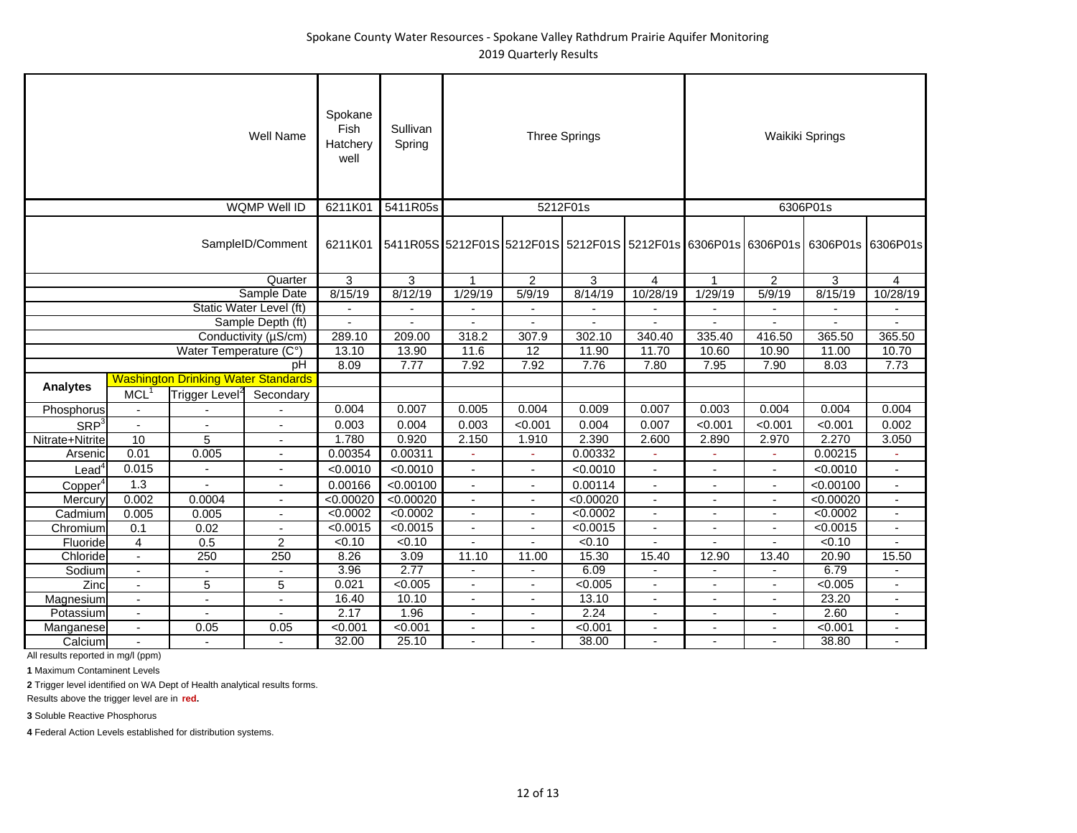|                                 |                          |                                            | Well Name                | Spokane<br>Fish<br>Hatcherv<br>well | Sullivan<br>Spring                                                               |                          |                          | <b>Three Springs</b> |                          |                          |                          | Waikiki Springs |                          |
|---------------------------------|--------------------------|--------------------------------------------|--------------------------|-------------------------------------|----------------------------------------------------------------------------------|--------------------------|--------------------------|----------------------|--------------------------|--------------------------|--------------------------|-----------------|--------------------------|
|                                 |                          |                                            | <b>WQMP Well ID</b>      | 6211K01                             | 5411R05s                                                                         |                          |                          | 5212F01s             |                          |                          |                          | 6306P01s        |                          |
|                                 |                          |                                            | SampleID/Comment         | 6211K01                             | 5411R05S 5212F01S 5212F01S 5212F01S 5212F01s 6306P01s 6306P01s 6306P01s 6306P01s |                          |                          |                      |                          |                          |                          |                 |                          |
|                                 |                          |                                            | Quarter                  | 3                                   | 3                                                                                | 1                        | $\overline{2}$           | 3                    | $\overline{4}$           | $\mathbf{1}$             | $\overline{2}$           | 3               | $\overline{4}$           |
|                                 |                          |                                            | Sample Date              | 8/15/19                             | 8/12/19                                                                          | 1/29/19                  | 5/9/19                   | 8/14/19              | 10/28/19                 | 1/29/19                  | 5/9/19                   | 8/15/19         | 10/28/19                 |
|                                 |                          |                                            | Static Water Level (ft)  |                                     | $\overline{\phantom{a}}$                                                         | $\overline{\phantom{a}}$ | $\blacksquare$           | $\blacksquare$       | $\blacksquare$           | $\overline{\phantom{a}}$ | $\blacksquare$           | $\overline{a}$  | $\overline{a}$           |
|                                 |                          |                                            | Sample Depth (ft)        | $\overline{a}$                      |                                                                                  | $\blacksquare$           | $\blacksquare$           | $\blacksquare$       | $\overline{\phantom{a}}$ | $\blacksquare$           | ä,                       | $\blacksquare$  | $\blacksquare$           |
|                                 |                          |                                            | Conductivity (µS/cm)     | 289.10                              | 209.00                                                                           | 318.2                    | 307.9                    | 302.10               | 340.40                   | 335.40                   | 416.50                   | 365.50          | 365.50                   |
|                                 |                          | Water Temperature (C°)                     |                          | 13.10                               | 13.90                                                                            | 11.6                     | 12                       | 11.90                | 11.70                    | 10.60                    | 10.90                    | 11.00           | 10.70                    |
|                                 |                          |                                            | рH                       | 8.09                                | 7.77                                                                             | 7.92                     | 7.92                     | 7.76                 | 7.80                     | 7.95                     | 7.90                     | 8.03            | 7.73                     |
| <b>Analytes</b>                 |                          | <b>Washington Drinking Water Standards</b> |                          |                                     |                                                                                  |                          |                          |                      |                          |                          |                          |                 |                          |
|                                 | MCL <sup>1</sup>         | Trigger Level <sup>2</sup>                 | Secondary                |                                     |                                                                                  |                          |                          |                      |                          |                          |                          |                 |                          |
| Phosphorus                      |                          |                                            |                          | 0.004                               | 0.007                                                                            | 0.005                    | 0.004                    | 0.009                | 0.007                    | 0.003                    | 0.004                    | 0.004           | 0.004                    |
| SRP <sup>3</sup>                | $\overline{\phantom{a}}$ | $\overline{a}$                             | $\overline{\phantom{a}}$ | 0.003                               | 0.004                                                                            | 0.003                    | < 0.001                  | 0.004                | 0.007                    | < 0.001                  | < 0.001                  | < 0.001         | 0.002                    |
| Nitrate+Nitrite                 | 10                       | $\overline{5}$                             | $\blacksquare$           | 1.780                               | 0.920                                                                            | 2.150                    | 1.910                    | 2.390                | 2.600                    | 2.890                    | 2.970                    | 2.270           | 3.050                    |
| Arsenic                         | 0.01                     | 0.005                                      | $\blacksquare$           | 0.00354                             | 0.00311                                                                          |                          | $\sim$                   | 0.00332              | ÷,                       | ä,                       | ÷                        | 0.00215         | $\omega$                 |
| Lead <sup>4</sup>               | 0.015                    |                                            | $\overline{\phantom{a}}$ | < 0.0010                            | < 0.0010                                                                         | $\blacksquare$           | $\sim$                   | < 0.0010             | $\overline{\phantom{a}}$ | $\blacksquare$           | $\blacksquare$           | < 0.0010        | $\blacksquare$           |
| C <sub>opper</sub> <sup>4</sup> | 1.3                      |                                            | $\overline{\phantom{a}}$ | 0.00166                             | < 0.00100                                                                        | $\blacksquare$           | $\blacksquare$           | 0.00114              | $\blacksquare$           | Ĭ.                       | $\sim$                   | < 0.00100       | $\overline{a}$           |
| Mercury                         | 0.002                    | 0.0004                                     | $\overline{\phantom{a}}$ | < 0.00020                           | < 0.00020                                                                        | $\blacksquare$           | $\blacksquare$           | < 0.00020            | $\overline{\phantom{a}}$ | ٠                        | $\blacksquare$           | < 0.00020       | $\overline{\phantom{a}}$ |
| Cadmium                         | 0.005                    | 0.005                                      | $\overline{\phantom{a}}$ | < 0.0002                            | < 0.0002                                                                         |                          |                          | < 0.0002             | ٠                        |                          | $\overline{\phantom{a}}$ | < 0.0002        | $\overline{\phantom{a}}$ |
| Chromium                        | 0.1                      | 0.02                                       |                          | < 0.0015                            | < 0.0015                                                                         | $\sim$                   | $\blacksquare$           | < 0.0015             | $\blacksquare$           | $\blacksquare$           | $\blacksquare$           | < 0.0015        | $\blacksquare$           |
| Fluoride                        | 4                        | 0.5                                        | $\overline{c}$           | < 0.10                              | $\sqrt{0.10}$                                                                    |                          |                          | < 0.10               |                          |                          |                          | < 0.10          |                          |
| Chloride                        | $\blacksquare$           | 250                                        | 250                      | 8.26                                | 3.09                                                                             | 11.10                    | 11.00                    | 15.30                | 15.40                    | 12.90                    | 13.40                    | 20.90           | 15.50                    |
| Sodium                          | $\mathbf{r}$             | $\sim$                                     |                          | 3.96                                | 2.77                                                                             | $\overline{\phantom{a}}$ | $\blacksquare$           | 6.09                 | $\blacksquare$           | $\overline{a}$           | $\blacksquare$           | 6.79            |                          |
| Zinc                            | $\blacksquare$           | 5                                          | 5                        | 0.021                               | < 0.005                                                                          | $\overline{\phantom{a}}$ | $\blacksquare$           | < 0.005              | $\blacksquare$           | ÷,                       | $\blacksquare$           | < 0.005         | $\blacksquare$           |
| Magnesium                       | $\overline{\phantom{a}}$ | $\blacksquare$                             | $\overline{\phantom{a}}$ | 16.40                               | 10.10                                                                            | $\overline{\phantom{a}}$ | $\sim$                   | 13.10                | $\overline{\phantom{a}}$ | $\overline{\phantom{a}}$ | $\overline{\phantom{a}}$ | 23.20           | $\overline{\phantom{a}}$ |
| Potassium                       |                          |                                            |                          | 2.17                                | 1.96                                                                             |                          |                          | 2.24                 |                          |                          |                          | 2.60            |                          |
| Manganese                       | $\blacksquare$           | 0.05                                       | 0.05                     | < 0.001                             | < 0.001                                                                          | $\blacksquare$           | $\overline{\phantom{a}}$ | < 0.001              | $\blacksquare$           | $\blacksquare$           | $\blacksquare$           | < 0.001         | $\blacksquare$           |
| Calcium                         |                          | $\blacksquare$                             | $\blacksquare$           | 32.00                               | 25.10                                                                            |                          |                          | 38.00                |                          |                          |                          | 38.80           | $\overline{a}$           |

**1** Maximum Contaminent Levels

**2** Trigger level identified on WA Dept of Health analytical results forms.

Results above the trigger level are in **red.**

**3** Soluble Reactive Phosphorus